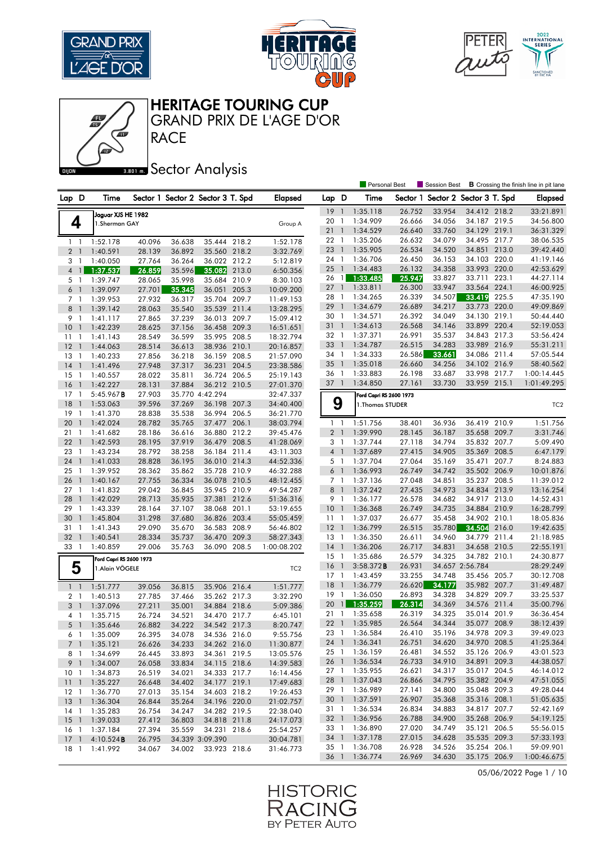







## **BRONES** Sector Analysis

|                 |                |                                      |        |                                   |                 |       |                 |                |                          | Personal Best           |        | Session Best                      |                 |       | <b>B</b> Crossing the finish line in pit lane |
|-----------------|----------------|--------------------------------------|--------|-----------------------------------|-----------------|-------|-----------------|----------------|--------------------------|-------------------------|--------|-----------------------------------|-----------------|-------|-----------------------------------------------|
| Lap D           |                | Time                                 |        | Sector 1 Sector 2 Sector 3 T. Spd |                 |       | <b>Elapsed</b>  | Lap D          |                          | Time                    |        | Sector 1 Sector 2 Sector 3 T. Spd |                 |       | Elapsed                                       |
|                 |                |                                      |        |                                   |                 |       |                 | 19             | $\overline{1}$           | 1:35.118                | 26.752 | 33.954                            | 34.412 218.2    |       | 33:21.891                                     |
| 4               |                | Jaguar XJS HE 1982<br>1.Sherman GAY  |        |                                   |                 |       |                 | 20             | -1                       | 1:34.909                | 26.666 | 34.056                            | 34.187 219.5    |       | 34:56.800                                     |
|                 |                |                                      |        |                                   |                 |       | Group A         | 21             | $\overline{1}$           | 1:34.529                | 26.640 | 33.760                            | 34.129 219.1    |       | 36:31.329                                     |
| 11              |                | 1:52.178                             | 40.096 | 36.638                            | 35.444 218.2    |       | 1:52.178        | 22             | $\overline{1}$           | 1:35.206                | 26.632 | 34.079                            | 34.495 217.7    |       | 38:06.535                                     |
| 2 <sub>1</sub>  |                | 1:40.591                             | 28.139 | 36.892                            | 35.560 218.2    |       | 3:32.769        | 23             | $\overline{1}$           | 1:35.905                | 26.534 | 34.520                            | 34.851 213.0    |       | 39:42.440                                     |
| 3               | $\overline{1}$ | 1:40.050                             | 27.764 | 36.264                            | 36.022 212.2    |       | 5:12.819        | 24 1           |                          | 1:36.706                | 26.450 | 36.153                            | 34.103 220.0    |       | 41:19.146                                     |
| 4               | $\mathbf{1}$   | 1:37.537                             | 26.859 | 35.596                            | 35.082          | 213.0 | 6:50.356        | 25             | $\mathbf{1}$             | 1:34.483                | 26.132 | 34.358                            | 33.993 220.0    |       | 42:53.629                                     |
| 5 1             |                | 1:39.747                             | 28.065 | 35.998                            | 35.684 210.9    |       | 8:30.103        | 26 1           |                          | 1:33.485                | 25.947 | 33.827                            | 33.711          | 223.1 | 44:27.114                                     |
| 6 <sup>1</sup>  |                | 1:39.097                             | 27.701 | 35.345                            | 36.051          | 205.3 | 10:09.200       | 27             | $\overline{1}$           | 1:33.811                | 26.300 | 33.947                            | 33.564 224.1    |       | 46:00.925                                     |
| 7 1             |                | 1:39.953                             | 27.932 | 36.317                            | 35.704 209.7    |       | 11:49.153       | 28 1           |                          | 1:34.265                | 26.339 | 34.507                            | 33.419          | 225.5 | 47:35.190                                     |
| 8               | $\overline{1}$ | 1:39.142                             | 28.063 | 35.540                            | 35.539 211.4    |       | 13:28.295       | 29             | $\overline{1}$           | 1:34.679                | 26.689 | 34.217                            | 33.773 220.0    |       | 49:09.869                                     |
| 9               | - 1            | 1:41.117                             | 27.865 | 37.239                            | 36.013 209.7    |       | 15:09.412       | 30 1           |                          | 1:34.571                | 26.392 | 34.049                            | 34.130 219.1    |       | 50:44.440                                     |
| 10              | $\overline{1}$ | 1:42.239                             | 28.625 | 37.156                            | 36.458 209.3    |       | 16:51.651       | 311            |                          | 1:34.613                | 26.568 | 34.146                            | 33.899          | 220.4 | 52:19.053                                     |
| 11              | - 1            | 1:41.143                             | 28.549 | 36.599                            | 35.995 208.5    |       | 18:32.794       | 32 1           |                          | 1:37.371                | 26.991 | 35.537                            | 34.843 217.3    |       | 53:56.424                                     |
| 12              | -1             | 1:44.063                             | 28.514 | 36.613                            | 38.936          | 210.1 | 20:16.857       | 33 1           |                          | 1:34.787                | 26.515 | 34.283                            | 33.989 216.9    |       | 55:31.211                                     |
| 13              | -1             | 1:40.233                             | 27.856 | 36.218                            | 36.159 208.5    |       | 21:57.090       | 34 1           |                          | 1:34.333                | 26.586 | 33.661                            | 34.086 211.4    |       | 57:05.544                                     |
| 14              | $\mathbf{1}$   | 1:41.496                             | 27.948 | 37.317                            | 36.231          | 204.5 | 23:38.586       | 35             | $\overline{1}$           | 1:35.018                | 26.660 | 34.256                            | 34.102 216.9    |       | 58:40.562                                     |
| 15              | 1              | 1:40.557                             | 28.022 | 35.811                            | 36.724          | 206.5 | 25:19.143       | 36 1           |                          | 1:33.883                | 26.198 | 33.687                            | 33.998 217.7    |       | 1:00:14.445                                   |
| 16              | $\overline{1}$ | 1:42.227                             | 28.131 | 37.884                            | 36.212 210.5    |       | 27:01.370       | 37 1           |                          | 1:34.850                | 27.161 | 33.730                            | 33.959 215.1    |       | 1:01:49.295                                   |
| $17-1$          |                | 5:45.967B                            | 27.903 |                                   | 35.770 4:42.294 |       | 32:47.337       |                |                          | Ford Capri RS 2600 1973 |        |                                   |                 |       |                                               |
| 18              | $\mathbf{1}$   | 1:53.063                             | 39.596 | 37.269                            | 36.198          | 207.3 | 34:40.400       | 9              |                          | 1. Thomas STUDER        |        |                                   |                 |       | TC <sub>2</sub>                               |
| 19              | -1             | 1:41.370                             | 28.838 | 35.538                            | 36.994 206.5    |       | 36:21.770       |                |                          |                         |        |                                   |                 |       |                                               |
| 20              | $\mathbf{1}$   | 1:42.024                             | 28.782 | 35.765                            | 37.477 206.1    |       | 38:03.794       | $1\quad$       |                          | 1:51.756                | 38.401 | 36.936                            | 36.419 210.9    |       | 1:51.756                                      |
| 21              | $\mathbf{1}$   | 1:41.682                             | 28.186 | 36.616                            | 36.880          | 212.2 | 39:45.476       | 2 <sub>1</sub> |                          | 1:39.990                | 28.145 | 36.187                            | 35.658 209.7    |       | 3:31.746                                      |
| 22              | $\overline{1}$ | 1:42.593                             | 28.195 | 37.919                            | 36.479 208.5    |       | 41:28.069       | 3 1            |                          | 1:37.744                | 27.118 | 34.794                            | 35.832 207.7    |       | 5:09.490                                      |
| 23              | $\overline{1}$ | 1:43.234                             | 28.792 | 38.258                            | 36.184 211.4    |       | 43:11.303       | $4-1$          |                          | 1:37.689                | 27.415 | 34.905                            | 35.369 208.5    |       | 6:47.179                                      |
| 24              | $\overline{1}$ | 1:41.033                             | 28.828 | 36.195                            | 36.010 214.3    |       | 44:52.336       | 5 <sub>1</sub> |                          | 1:37.704                | 27.064 | 35.169                            | 35.471 207.7    |       | 8:24.883                                      |
| 25              | -1             | 1:39.952                             | 28.362 | 35.862                            | 35.728 210.9    |       | 46:32.288       | 6              | $\overline{1}$           | 1:36.993                | 26.749 | 34.742                            | 35.502          | 206.9 | 10:01.876                                     |
| 26              | $\mathbf{1}$   | 1:40.167                             | 27.755 | 36.334                            | 36.078 210.5    |       | 48:12.455       | 7 1            |                          | 1:37.136                | 27.048 | 34.851                            | 35.237 208.5    |       | 11:39.012                                     |
| 27              | $\mathbf{1}$   | 1:41.832                             | 29.042 | 36.845                            | 35.945 210.9    |       | 49:54.287       | 8 <sup>1</sup> |                          | 1:37.242                | 27.435 | 34.973                            | 34.834 213.9    |       | 13:16.254                                     |
| 28              | $\mathbf{1}$   | 1:42.029                             | 28.713 | 35.935                            | 37.381 212.6    |       | 51:36.316       | 9 1            |                          | 1:36.177                | 26.578 | 34.682                            | 34.917 213.0    |       | 14:52.431                                     |
| 29              | - 1            | 1:43.339                             | 28.164 | 37.107                            | 38.068          | 201.1 | 53:19.655       | 10             | $\overline{1}$           | 1:36.368                | 26.749 | 34.735                            | 34.884 210.9    |       | 16:28.799                                     |
| 30              | $\overline{1}$ | 1:45.804                             | 31.298 | 37.680                            | 36.826          | 203.4 | 55:05.459       | $11-1$         |                          | 1:37.037                | 26.677 | 35.458                            | 34.902 210.1    |       | 18:05.836                                     |
| 31              | -1             | 1:41.343                             | 29.090 | 35.670                            | 36.583 208.9    |       | 56:46.802       | $12-1$         |                          | 1:36.799                | 26.515 | 35.780                            | 34.504          | 216.0 | 19:42.635                                     |
| 32              | $\overline{1}$ | 1:40.541                             | 28.334 | 35.737                            | 36.470          | 209.3 | 58:27.343       | 13 1           |                          | 1:36.350                | 26.611 | 34.960                            | 34.779          | 211.4 | 21:18.985                                     |
| 33              | -1             | 1:40.859                             | 29.006 | 35.763                            | 36.090 208.5    |       | 1:00:08.202     | 14             | $\overline{1}$           | 1:36.206                | 26.717 | 34.831                            | 34.658 210.5    |       | 22:55.191                                     |
|                 |                | Ford Capri RS 2600 1973              |        |                                   |                 |       |                 | $15-1$         |                          | 1:35.686                | 26.579 | 34.325                            | 34.782 210.1    |       | 24:30.877                                     |
| 5               |                | 1.Alain VÖGELE                       |        |                                   |                 |       | TC <sub>2</sub> | 16             | $\overline{\phantom{a}}$ | 3:58.372B               | 26.931 |                                   | 34.657 2:56.784 |       | 28:29.249                                     |
|                 |                |                                      |        |                                   |                 |       |                 | $17-1$         |                          | 1:43.459                | 33.255 | 34.748                            | 35.456 205.7    |       | 30:12.708                                     |
| $1\quad$        |                | 1:51.777                             | 39.056 | 36.815                            | 35.906 216.4    |       | 1:51.777        | 18             | $\overline{1}$           | 1:36.779                | 26.620 | 34.177                            | 35.982          | 207.7 | 31:49.487                                     |
| 2 <sub>1</sub>  |                | 1:40.513                             | 27.785 | 37.466                            | 35.262 217.3    |       | 3:32.290        | 19 1           |                          | 1:36.050                | 26.893 | 34.328                            | 34.829 209.7    |       | 33:25.537                                     |
| 3 <sup>1</sup>  |                | 1:37.096                             | 27.211 | 35.001                            | 34.884 218.6    |       | 5:09.386        | 20             | $\mathbf{1}$             | 1:35.259                | 26.314 | 34.369                            | 34.576          | 211.4 | 35:00.796                                     |
| 4 1             |                | 1:35.715                             | 26.724 | 34.521                            | 34.470 217.7    |       | 6:45.101        | 21             | -1                       | 1:35.658                | 26.319 | 34.325                            | 35.014          | 201.9 | 36:36.454                                     |
| 5 <sub>1</sub>  |                | 1:35.646                             | 26.882 | 34.222                            | 34.542 217.3    |       | 8:20.747        | 22 1           |                          | 1:35.985                | 26.564 | 34.344                            | 35.077 208.9    |       | 38:12.439                                     |
|                 |                | 6 1 1:35.009                         | 26.395 | 34.078                            | 34.536 216.0    |       | 9:55.756        |                |                          | 23 1 1:36.584           | 26.410 | 35.196                            | 34.978 209.3    |       | 39:49.023                                     |
| $7-1$           |                | 1:35.121                             | 26.626 | 34.233                            | 34.262 216.0    |       | 11:30.877       |                |                          | 24 1 1:36.341           | 26.751 | 34.620                            | 34.970 208.5    |       | 41:25.364                                     |
| 81              |                | 1:34.699                             | 26.445 | 33.893                            | 34.361 219.5    |       | 13:05.576       | 25 1           |                          | 1:36.159                | 26.481 | 34.552                            | 35.126 206.9    |       | 43:01.523                                     |
|                 |                | 9 1 1:34.007                         | 26.058 | 33.834                            | 34.115 218.6    |       | 14:39.583       |                |                          | 26 1 1:36.534           | 26.733 | 34.910                            | 34.891 209.3    |       | 44:38.057                                     |
| 10 <sub>1</sub> |                | 1:34.873                             | 26.519 | 34.021                            | 34.333 217.7    |       | 16:14.456       |                |                          | 27 1 1:35.955           | 26.621 | 34.317                            | 35.017 204.5    |       | 46:14.012                                     |
|                 |                | 11 1 1:35.227                        | 26.648 | 34.402                            | 34.177 219.1    |       | 17:49.683       |                |                          | 28 1 1:37.043           | 26.866 | 34.795                            | 35.382 204.9    |       | 47:51.055                                     |
| 12 <sub>1</sub> |                | 1:36.770                             | 27.013 | 35.154                            | 34.603 218.2    |       | 19:26.453       |                |                          | 29 1 1:36.989           | 27.141 | 34.800                            | 35.048 209.3    |       | 49:28.044                                     |
| 13 <sup>1</sup> |                | 1:36.304                             | 26.844 | 35.264                            | 34.196 220.0    |       | 21:02.757       |                |                          | 30 1 1:37.591           | 26.907 | 35.368                            | 35.316 208.1    |       | 51:05.635                                     |
|                 |                | 14 1 1:35.283                        | 26.754 | 34.247                            | 34.282 219.5    |       | 22:38.040       | 31 1           |                          | 1:36.534                | 26.834 | 34.883                            | 34.817 207.7    |       | 52:42.169                                     |
|                 |                | 15 1 1:39.033                        | 27.412 | 36.803                            | 34.818 211.8    |       | 24:17.073       | 32 1           |                          | 1:36.956                | 26.788 | 34.900                            | 35.268 206.9    |       | 54:19.125                                     |
| 16 <sub>1</sub> |                | 1:37.184                             | 27.394 | 35.559                            | 34.231 218.6    |       | 25:54.257       | 33 1           |                          | 1:36.890                | 27.020 | 34.749                            | 35.121 206.5    |       | 55:56.015                                     |
|                 |                | $17 \quad 1 \quad 4:10.524$ <b>B</b> | 26.795 |                                   | 34.339 3:09.390 |       | 30:04.781       |                |                          | 34 1 1:37.178           | 27.015 | 34.628                            | 35.535 209.3    |       | 57:33.193                                     |
| 18 1            |                | 1:41.992                             | 34.067 | 34.002                            | 33.923 218.6    |       | 31:46.773       | 35 1           |                          | 1:36.708                | 26.928 | 34.526                            | 35.254 206.1    |       | 59:09.901                                     |
|                 |                |                                      |        |                                   |                 |       |                 |                |                          | 36 1 1:36.774           | 26.969 | 34.630                            | 35.175 206.9    |       | 1:00:46.675                                   |

05/06/2022 Page 1 / 10

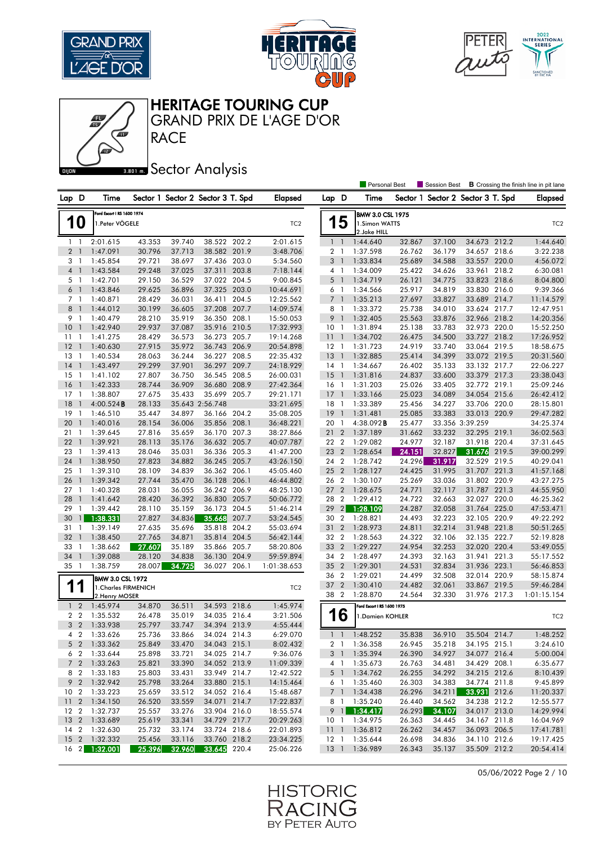







## **BRONES** Sector Analysis

|                 |                          |                            |        |        |                                   |       |                 |                 |                          | <b>Personal Best</b>         |        | <b>Session Best</b>               |                 |       | <b>B</b> Crossing the finish line in pit lane |
|-----------------|--------------------------|----------------------------|--------|--------|-----------------------------------|-------|-----------------|-----------------|--------------------------|------------------------------|--------|-----------------------------------|-----------------|-------|-----------------------------------------------|
| Lap D           |                          | Time                       |        |        | Sector 1 Sector 2 Sector 3 T. Spd |       | Elapsed         | Lap D           |                          | Time                         |        | Sector 1 Sector 2 Sector 3 T. Spd |                 |       | Elapsed                                       |
|                 |                          | Ford Escort   RS 1600 1974 |        |        |                                   |       |                 |                 |                          | <b>BMW 3.0 CSL 1975</b>      |        |                                   |                 |       |                                               |
|                 | 10                       | 1.Peter VÖGELE             |        |        |                                   |       | TC <sub>2</sub> | 1               | 5                        | 1.Simon WATTS<br>2.Jake HILL |        |                                   |                 |       | TC <sub>2</sub>                               |
|                 | $1\quad$                 | 2:01.615                   | 43.353 | 39.740 | 38.522 202.2                      |       | 2:01.615        |                 | $1\quad$                 | 1:44.640                     | 32.867 | 37.100                            | 34.673 212.2    |       | 1:44.640                                      |
|                 | 2 <sub>1</sub>           | 1:47.091                   | 30.796 | 37.713 | 38.582 201.9                      |       | 3:48.706        |                 | 2 <sub>1</sub>           | 1:37.598                     | 26.762 | 36.179                            | 34.657 218.6    |       | 3:22.238                                      |
|                 | 3 1                      | 1:45.854                   | 29.721 | 38.697 | 37.436 203.0                      |       | 5:34.560        | 3               | $\overline{1}$           | 1:33.834                     | 25.689 | 34.588                            | 33.557 220.0    |       | 4:56.072                                      |
|                 | 4 <sup>1</sup>           | 1:43.584                   | 29.248 | 37.025 | 37.311 203.8                      |       | 7:18.144        |                 | $4-1$                    | 1:34.009                     | 25.422 | 34.626                            | 33.961 218.2    |       | 6:30.081                                      |
|                 | 5 <sub>1</sub>           | 1:42.701                   | 29.150 | 36.529 | 37.022 204.5                      |       | 9:00.845        | 5               | $\overline{1}$           | 1:34.719                     | 26.121 | 34.775                            | 33.823 218.6    |       | 8:04.800                                      |
|                 | 6 <sup>1</sup>           | 1:43.846                   | 29.625 | 36.896 | 37.325                            | 203.0 | 10:44.691       |                 | 6 1                      | 1:34.566                     | 25.917 | 34.819                            | 33.830 216.0    |       | 9:39.366                                      |
| $7^{\circ}$     | $\overline{1}$           | 1:40.871                   | 28.429 | 36.031 | 36.411 204.5                      |       | 12:25.562       |                 | 7 <sup>1</sup>           | 1:35.213                     | 27.697 | 33.827                            | 33.689 214.7    |       | 11:14.579                                     |
| 8               | $\overline{1}$           | 1:44.012                   | 30.199 | 36.605 | 37.208 207.7                      |       | 14:09.574       |                 | 8 1                      | 1:33.372                     | 25.738 | 34.010                            | 33.624 217.7    |       | 12:47.951                                     |
| 9               | $\overline{1}$           | 1:40.479                   | 28.210 | 35.919 | 36.350                            | 208.1 | 15:50.053       | 9               | $\overline{1}$           | 1:32.405                     | 25.563 | 33.876                            | 32.966 218.2    |       | 14:20.356                                     |
| 10 <sup>°</sup> | $\overline{1}$           | 1:42.940                   | 29.937 | 37.087 | 35.916 210.5                      |       | 17:32.993       | 10 <sub>1</sub> |                          | 1:31.894                     | 25.138 | 33.783                            | 32.973 220.0    |       | 15:52.250                                     |
| 11              | $\overline{1}$           | 1:41.275                   | 28.429 | 36.573 | 36.273                            | 205.7 | 19:14.268       | 11              | $\overline{\phantom{a}}$ | 1:34.702                     | 26.475 | 34.500                            | 33.727 218.2    |       | 17:26.952                                     |
| 12              | $\overline{1}$           | 1:40.630                   | 27.915 | 35.972 | 36.743 206.9                      |       | 20:54.898       | $12-1$          |                          | 1:31.723                     | 24.919 | 33.740                            | 33.064 219.5    |       | 18:58.675                                     |
| 13              | $\overline{1}$           | 1:40.534                   | 28.063 | 36.244 | 36.227 208.5                      |       | 22:35.432       | 13              | $\overline{1}$           | 1:32.885                     | 25.414 | 34.399                            | 33.072 219.5    |       | 20:31.560                                     |
| 14              | $\overline{1}$           | 1:43.497                   | 29.299 | 37.901 | 36.297 209.7                      |       | 24:18.929       | $14-1$          |                          | 1:34.667                     | 26.402 | 35.133                            | 33.132 217.7    |       | 22:06.227                                     |
| 15              | $\overline{1}$           | 1:41.102                   | 27.807 | 36.750 | 36.545 208.5                      |       | 26:00.031       | 15              | $\overline{1}$           | 1:31.816                     | 24.837 | 33.600                            | 33.379 217.3    |       | 23:38.043                                     |
| 16              | $\overline{1}$           | 1:42.333                   | 28.744 | 36.909 | 36.680 208.9                      |       | 27:42.364       | 16              | $\overline{1}$           | 1:31.203                     | 25.026 | 33.405                            | 32.772 219.1    |       | 25:09.246                                     |
| $17-1$          |                          | 1:38.807                   | 27.675 | 35.433 | 35.699 205.7                      |       | 29:21.171       | 17              | $\overline{1}$           | 1:33.166                     | 25.023 | 34.089                            | 34.054 215.6    |       | 26:42.412                                     |
| 18              | $\overline{1}$           | 4:00.524B                  | 28.133 |        | 35.643 2:56.748                   |       | 33:21.695       | 18              | $\overline{1}$           | 1:33.389                     | 25.456 | 34.227                            | 33.706 220.0    |       | 28:15.801                                     |
| 19              | -1                       | 1:46.510                   | 35.447 | 34.897 | 36.166 204.2                      |       | 35:08.205       | 19              | $\overline{1}$           | 1:31.481                     | 25.085 | 33.383                            | 33.013 220.9    |       | 29:47.282                                     |
| 20              | $\overline{1}$           | 1:40.016                   | 28.154 | 36.006 | 35.856 208.1                      |       | 36:48.221       | 20 1            |                          | 4:38.092B                    | 25.477 |                                   | 33.356 3:39.259 |       | 34:25.374                                     |
| 21              | -1                       | 1:39.645                   | 27.816 | 35.659 | 36.170                            | 207.3 | 38:27.866       | 21 2            |                          | 1:37.189                     | 31.662 | 33.232                            | 32.295 219.1    |       | 36:02.563                                     |
| 22              | $\overline{1}$           | 1:39.921                   | 28.113 | 35.176 | 36.632 205.7                      |       | 40:07.787       | 22 2            |                          | 1:29.082                     | 24.977 | 32.187                            | 31.918 220.4    |       | 37:31.645                                     |
| 23              | $\overline{1}$           | 1:39.413                   | 28.046 | 35.031 | 36.336 205.3                      |       | 41:47.200       | 23              | $\overline{2}$           | 1:28.654                     | 24.151 | 32.827                            | 31.676          | 219.5 | 39:00.299                                     |
| 24              | $\overline{1}$           | 1:38.950                   | 27.823 | 34.882 | 36.245 205.7                      |       | 43:26.150       | 24 2            |                          | 1:28.742                     | 24.296 | 31.917                            | 32.529 219.5    |       | 40:29.041                                     |
| 25              | $\overline{1}$           | 1:39.310                   | 28.109 | 34.839 | 36.362 206.1                      |       | 45:05.460       | 25 <sub>2</sub> | $\overline{2}$           | 1:28.127                     | 24.425 | 31.995                            | 31.707          | 221.3 | 41:57.168                                     |
| 26              | $\overline{1}$           | 1:39.342                   | 27.744 | 35.470 | 36.128 206.1                      |       | 46:44.802       | 26 2            |                          | 1:30.107                     | 25.269 | 33.036                            | 31.802 220.9    |       | 43:27.275                                     |
| 27              | $\overline{1}$           | 1:40.328                   | 28.031 | 36.055 | 36.242 206.9                      |       | 48:25.130       | 27 <sub>2</sub> |                          | 1:28.675                     | 24.771 | 32.117                            | 31.787 221.3    |       | 44:55.950                                     |
| 28              | $\overline{1}$           | 1:41.642                   | 28.420 | 36.392 | 36.830 205.7                      |       | 50:06.772       | 28              | $\overline{2}$           | 1:29.412                     | 24.722 | 32.663                            | 32.027 220.0    |       | 46:25.362                                     |
| 29              | $\overline{1}$           | 1:39.442                   | 28.110 | 35.159 | 36.173                            | 204.5 | 51:46.214       | 29              | $\overline{2}$           | 1:28.109                     | 24.287 | 32.058                            | 31.764 225.0    |       | 47:53.471                                     |
| 30              | $\vert$                  | 1:38.331                   | 27.827 | 34.836 | 35.668                            | 207.7 | 53:24.545       | 30              | $\overline{2}$           | 1:28.821                     | 24.493 | 32.223                            | 32.105 220.9    |       | 49:22.292                                     |
| 31              | $\mathbf{1}$             | 1:39.149                   | 27.635 | 35.696 | 35.818 204.2                      |       | 55:03.694       | 31              | $\overline{2}$           | 1:28.973                     | 24.811 | 32.214                            | 31.948 221.8    |       | 50:51.265                                     |
| 32              | $\overline{1}$           | 1:38.450                   | 27.765 | 34.871 | 35.814                            | 204.5 | 56:42.144       | 32 2            |                          | 1:28.563                     | 24.322 | 32.106                            | 32.135 222.7    |       | 52:19.828                                     |
| 33              | -1                       | 1:38.662                   | 27.607 | 35.189 | 35.866 205.7                      |       | 58:20.806       | 33 2            |                          | 1:29.227                     | 24.954 | 32.253                            | 32.020 220.4    |       | 53:49.055                                     |
| 34              | $\overline{\phantom{a}}$ | 1:39.088                   | 28.120 | 34.838 | 36.130 204.9                      |       | 59:59.894       | 34 2            |                          | 1:28.497                     | 24.393 | 32.163                            | 31.941 221.3    |       | 55:17.552                                     |
| $35-1$          |                          | 1:38.759                   | 28.007 | 34.725 | 36.027 206.1                      |       | 1:01:38.653     | 35              | $\overline{2}$           | 1:29.301                     | 24.531 | 32.834                            | 31.936 223.1    |       | 56:46.853                                     |
|                 |                          | BMW 3.0 CSL 1972           |        |        |                                   |       |                 | 36 2            |                          | 1:29.021                     | 24.499 | 32.508                            | 32.014 220.9    |       | 58:15.874                                     |
| 1               | 1                        | 1. Charles FIRMENICH       |        |        |                                   |       | TC <sub>2</sub> | 37              | $\overline{2}$           | 1:30.410                     | 24.482 | 32.061                            | 33.867          | 219.5 | 59:46.284                                     |
|                 |                          | 2. Henry MOSER             |        |        |                                   |       |                 | 38 2            |                          | 1:28.870                     | 24.564 | 32.330                            | 31.976 217.3    |       | 1:01:15.154                                   |
|                 | 1 <sub>2</sub>           | 1:45.974                   | 34.870 | 36.511 | 34.593 218.6                      |       | 1:45.974        |                 |                          | Ford Escort   RS 1600 1975   |        |                                   |                 |       |                                               |
|                 | 2 <sub>2</sub>           | 1:35.532                   | 26.478 | 35.019 | 34.035 216.4                      |       | 3:21.506        |                 | 16                       | <b>I.Damien KOHLER</b>       |        |                                   |                 |       | TC <sub>2</sub>                               |
|                 | 3 <sub>2</sub>           | 1:33.938                   | 25.797 | 33.747 | 34.394 213.9                      |       | 4:55.444        |                 |                          |                              |        |                                   |                 |       |                                               |
|                 | 4 2                      | 1:33.626                   | 25.736 | 33.866 | 34.024 214.3                      |       | 6:29.070        |                 |                          | $1 \quad 1 \quad 1:48.252$   | 35.838 | 36.910                            | 35.504 214.7    |       | 1:48.252                                      |
|                 |                          | 5 2 1:33.362               | 25.849 | 33.470 | 34.043 215.1                      |       | 8:02.432        |                 |                          | 2 1 1:36.358                 | 26.945 | 35.218                            | 34.195 215.1    |       | 3:24.610                                      |
|                 |                          | 6 2 1:33.644               | 25.898 | 33.721 | 34.025 214.7                      |       | 9:36.076        |                 |                          | 3 1 1:35.394                 | 26.390 | 34.927                            | 34.077 216.4    |       | 5:00.004                                      |
|                 |                          | 7 2 1:33.263               | 25.821 | 33.390 | 34.052 213.9                      |       | 11:09.339       |                 |                          | 4 1 1:35.673                 | 26.763 | 34.481                            | 34.429 208.1    |       | 6:35.677                                      |
|                 |                          | 8 2 1:33.183               | 25.803 | 33.431 | 33.949 214.7                      |       | 12:42.522       |                 |                          | 5 1 1:34.762                 | 26.255 | 34.292                            | 34.215 212.6    |       | 8:10.439                                      |
|                 |                          | 9 2 1:32.942               | 25.798 | 33.264 | 33.880 215.1                      |       | 14:15.464       |                 | 6 1                      | 1:35.460                     | 26.303 | 34.383                            | 34.774 211.8    |       | 9:45.899                                      |
|                 | 10 <sub>2</sub>          | 1:33.223                   | 25.659 | 33.512 | 34.052 216.4                      |       | 15:48.687       |                 |                          | 7 1 1:34.438                 | 26.296 | 34.211                            | 33.931 212.6    |       | 11:20.337                                     |
|                 |                          | 11 2 1:34.150              | 26.520 | 33.559 | 34.071 214.7                      |       | 17:22.837       |                 |                          | 8 1 1:35.240                 | 26.440 | 34.562                            | 34.238 212.2    |       | 12:55.577                                     |
|                 |                          | 12 2 1:32.737              | 25.557 | 33.276 | 33.904 216.0                      |       | 18:55.574       |                 | $9$ 1                    | 1:34.417                     | 26.293 | 34.107                            | 34.017 213.0    |       | 14:29.994                                     |
|                 |                          | 13 2 1:33.689              | 25.619 | 33.341 | 34.729 217.7                      |       | 20:29.263       |                 |                          | 10 1 1:34.975                | 26.363 | 34.445                            | 34.167 211.8    |       | 16:04.969                                     |
|                 |                          | 14 2 1:32.630              | 25.732 | 33.174 | 33.724 218.6                      |       | 22:01.893       |                 |                          | 11 1:36.812                  | 26.262 | 34.457                            | 36.093 206.5    |       | 17:41.781                                     |
|                 |                          | 15 2 1:32.332              | 25.456 | 33.116 | 33.760 218.2                      |       | 23:34.225       |                 | $12-1$                   | 1:35.644                     | 26.698 | 34.836                            | 34.110 212.6    |       | 19:17.425                                     |
|                 |                          | 16 2 1:32.001              | 25.396 | 32.960 | 33.645 220.4                      |       | 25:06.226       |                 |                          | 13 1 1:36.989                | 26.343 | 35.137                            | 35.509 212.2    |       | 20:54.414                                     |
|                 |                          |                            |        |        |                                   |       |                 |                 |                          |                              |        |                                   |                 |       |                                               |

05/06/2022 Page 2 / 10

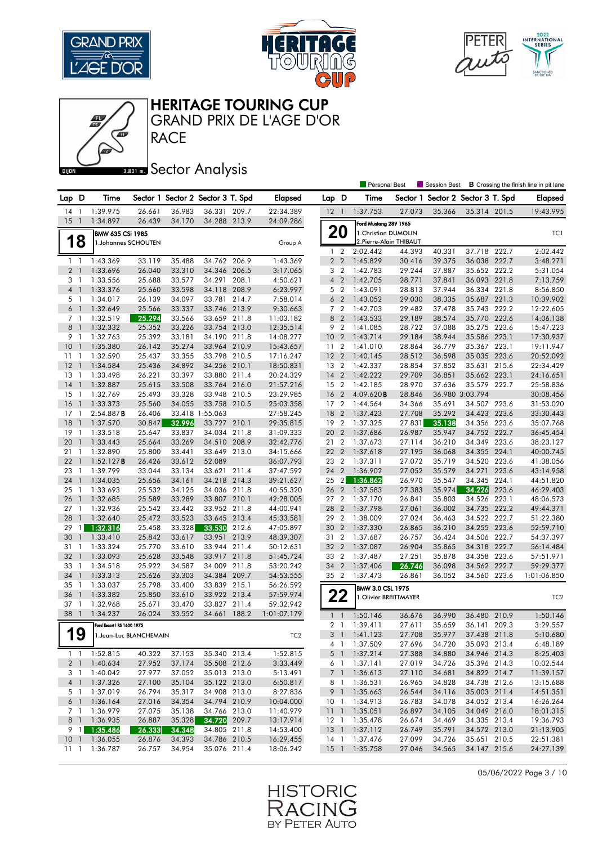







**BRONES** Sector Analysis

|                 |                |                            |                  |                  |                                   |       |                        |                 |                | <b>Personal Best</b>    |                  | <b>Session Best</b>      |                                 |       | <b>B</b> Crossing the finish line in pit lane |
|-----------------|----------------|----------------------------|------------------|------------------|-----------------------------------|-------|------------------------|-----------------|----------------|-------------------------|------------------|--------------------------|---------------------------------|-------|-----------------------------------------------|
| Lap D           |                | Time                       |                  |                  | Sector 1 Sector 2 Sector 3 T. Spd |       | <b>Elapsed</b>         | Lap D           |                | Time                    | Sector 1         | Sector 2 Sector 3 T. Spd |                                 |       | Elapsed                                       |
| 14              | -1             | 1:39.975                   | 26.661           | 36.983           | 36.331 209.7                      |       | 22:34.389              | $12-1$          |                | 1:37.753                | 27.073           | 35.366                   | 35.314 201.5                    |       | 19:43.995                                     |
| 15              | $\overline{1}$ | 1:34.897                   | 26.439           | 34.170           | 34.288 213.9                      |       | 24:09.286              |                 |                | Ford Mustang 289 1965   |                  |                          |                                 |       |                                               |
|                 |                | BMW 635 CSi 1985           |                  |                  |                                   |       |                        | 20              |                | 1. Christian DUMOLIN    |                  |                          |                                 |       | TC1                                           |
|                 | 18             | 1.Johannes SCHOUTEN        |                  |                  |                                   |       | Group A                |                 |                | 2. Pierre-Alain THIBAUT |                  |                          |                                 |       |                                               |
|                 |                |                            |                  |                  |                                   |       |                        | $1\quad 2$      |                | 2:02.442                | 44.393           | 40.331                   | 37.718 222.7                    |       | 2:02.442                                      |
| $1\quad$        |                | 1:43.369                   | 33.119           | 35.488           | 34.762 206.9                      |       | 1:43.369               | 2 <sub>2</sub>  |                | 1:45.829                | 30.416           | 39.375                   | 36.038 222.7                    |       | 3:48.271                                      |
| 2 <sub>1</sub>  |                | 1:33.696                   | 26.040           | 33.310           | 34.346 206.5                      |       | 3:17.065               | 3               | $\overline{2}$ | 1:42.783                | 29.244           | 37.887                   | 35.652 222.2                    |       | 5:31.054                                      |
| 3 <sub>1</sub>  |                | 1:33.556                   | 25.688           | 33.577           | 34.291 208.1                      |       | 4:50.621               | 4 <sup>2</sup>  |                | 1:42.705                | 28.771           | 37.841                   | 36.093 221.8                    |       | 7:13.759                                      |
| 4 <sup>1</sup>  |                | 1:33.376                   | 25.660           | 33.598           | 34.118                            | 208.9 | 6:23.997               | 5               | $\overline{2}$ | 1:43.091                | 28.813           | 37.944                   | 36.334                          | 221.8 | 8:56.850                                      |
| 5 1             |                | 1:34.017                   | 26.139           | 34.097           | 33.781 214.7                      |       | 7:58.014               | 6 <sub>2</sub>  |                | 1:43.052                | 29.030           | 38.335                   | 35.687 221.3                    |       | 10:39.902                                     |
| 6               | $\overline{1}$ | 1:32.649                   | 25.566           | 33.337           | 33.746 213.9                      |       | 9:30.663               | 7 <sub>2</sub>  |                | 1:42.703                | 29.482           | 37.478                   | 35.743 222.2                    |       | 12:22.605                                     |
| 7 <sub>1</sub>  |                | 1:32.519                   | 25.294           | 33.566           | 33.659 211.8                      |       | 11:03.182              | 8 2             |                | 1:43.533                | 29.189           | 38.574                   | 35.770 223.6                    |       | 14:06.138                                     |
| 8               | $\overline{1}$ | 1:32.332                   | 25.352           | 33.226           | 33.754 213.0                      |       | 12:35.514              | 9 <sub>2</sub>  |                | 1:41.085                | 28.722           | 37.088                   | 35.275 223.6                    |       | 15:47.223                                     |
| 9               | $\overline{1}$ | 1:32.763                   | 25.392           | 33.181           | 34.190 211.8                      |       | 14:08.277              | 10 <sub>2</sub> |                | 1:43.714                | 29.184           | 38.944                   | 35.586 223.1                    |       | 17:30.937                                     |
| 10              | -1             | 1:35.380                   | 26.142           | 35.274           | 33.964 210.9                      |       | 15:43.657              | 11 <sub>2</sub> |                | 1:41.010                | 28.864           | 36.779                   | 35.367 223.1                    |       | 19:11.947                                     |
| 11              | -1             | 1:32.590                   | 25.437           | 33.355           | 33.798 210.5                      |       | 17:16.247              | 12 <sub>2</sub> |                | 1:40.145                | 28.512           | 36.598                   | 35.035 223.6                    |       | 20:52.092                                     |
| 12              | $\mathbf{1}$   | 1:34.584                   | 25.436           | 34.892           | 34.256 210.1                      |       | 18:50.831              | 13 2            |                | 1:42.337                | 28.854           | 37.852                   | 35.631 215.6                    |       | 22:34.429                                     |
| 13              | 1              | 1:33.498                   | 26.221           | 33.397           | 33.880                            | 211.4 | 20:24.329              | 14              | $\overline{2}$ | 1:42.222                | 29.709           | 36.851                   | 35.662 223.1                    |       | 24:16.651                                     |
| 14<br>$15-1$    | $\overline{1}$ | 1:32.887                   | 25.615           | 33.508           | 33.764 216.0<br>33.948 210.5      |       | 21:57.216<br>23:29.985 | 15 2            | $\overline{2}$ | 1:42.185                | 28.970           | 37.636                   | 35.579 222.7<br>36.980 3:03.794 |       | 25:58.836                                     |
| 16              | $\overline{1}$ | 1:32.769<br>1:33.373       | 25.493<br>25.560 | 33.328<br>34.055 | 33.758                            | 210.5 | 25:03.358              | 16<br>17        | $\overline{2}$ | 4:09.620B<br>1:44.564   | 28.846<br>34.366 | 35.691                   | 34.507 223.6                    |       | 30:08.456<br>31:53.020                        |
| 17              | -1             | 2:54.887B                  | 26.406           |                  | 33.418 1:55.063                   |       | 27:58.245              | 18              | $\overline{2}$ | 1:37.423                | 27.708           | 35.292                   | 34.423 223.6                    |       | 33:30.443                                     |
| 18              | $\mathbf{1}$   | 1:37.570                   | 30.847           | 32.996           | 33.727 210.1                      |       | 29:35.815              | 19 2            |                | 1:37.325                | 27.831           | 35.138                   | 34.356 223.6                    |       | 35:07.768                                     |
| 19              | -1             | 1:33.518                   | 25.647           | 33.837           | 34.034                            | 211.8 | 31:09.333              | 20              | $\overline{2}$ | 1:37.686                | 26.987           | 35.947                   | 34.752 222.7                    |       | 36:45.454                                     |
| 20              | $\overline{1}$ | 1:33.443                   | 25.664           | 33.269           | 34.510 208.9                      |       | 32:42.776              | 21 2            |                | 1:37.673                | 27.114           | 36.210                   | 34.349 223.6                    |       | 38:23.127                                     |
| 21              | $\overline{1}$ | 1:32.890                   | 25.800           | 33.441           | 33.649                            | 213.0 | 34:15.666              | 22 2            |                | 1:37.618                | 27.195           | 36.068                   | 34.355 224.1                    |       | 40:00.745                                     |
| 22              | $\overline{1}$ | 1:52.127B                  | 26.426           | 33.612           | 52.089                            |       | 36:07.793              | 23 2            |                | 1:37.311                | 27.072           | 35.719                   | 34.520 223.6                    |       | 41:38.056                                     |
| 23              | -1             | 1:39.799                   | 33.044           | 33.134           | 33.621                            | 211.4 | 37:47.592              | 24              | $\overline{2}$ | 1:36.902                | 27.052           | 35.579                   | 34.271                          | 223.6 | 43:14.958                                     |
| 24              | $\mathbf{1}$   | 1:34.035                   | 25.656           | 34.161           | 34.218 214.3                      |       | 39:21.627              | 25              | $\overline{2}$ | 1:36.862                | 26.970           | 35.547                   | 34.345 224.1                    |       | 44:51.820                                     |
| 25              | $\mathbf{1}$   | 1:33.693                   | 25.532           | 34.125           | 34.036 211.8                      |       | 40:55.320              | 26 2            |                | 1:37.583                | 27.383           | 35.974                   | 34.226                          | 223.6 | 46:29.403                                     |
| 26              | $\overline{1}$ | 1:32.685                   | 25.589           | 33.289           | 33.807 210.1                      |       | 42:28.005              | 27 2            |                | 1:37.170                | 26.841           | 35.803                   | 34.526 223.1                    |       | 48:06.573                                     |
| $27-1$          |                | 1:32.936                   | 25.542           | 33.442           | 33.952 211.8                      |       | 44:00.941              | 28              | $\overline{2}$ | 1:37.798                | 27.061           | 36.002                   | 34.735 222.2                    |       | 49:44.371                                     |
| 28              | $\mathbf{1}$   | 1:32.640                   | 25.472           | 33.523           | 33.645                            | 213.4 | 45:33.581              | 29              | $\overline{2}$ | 1:38.009                | 27.024           | 36.463                   | 34.522                          | 222.7 | 51:22.380                                     |
| 29              | 1              | 1:32.316                   | 25.458           | 33.328           | 33.530                            | 212.6 | 47:05.897              | 30              | $\overline{2}$ | 1:37.330                | 26.865           | 36.210                   | 34.255 223.6                    |       | 52:59.710                                     |
| 30              | $\mathbf{1}$   | 1:33.410                   | 25.842           | 33.617           | 33.951                            | 213.9 | 48:39.307              | 31 2            |                | 1:37.687                | 26.757           | 36.424                   | 34.506 222.7                    |       | 54:37.397                                     |
| 31              | 1              | 1:33.324                   | 25.770           | 33.610           | 33.944 211.4                      |       | 50:12.631              | 32 2            |                | 1:37.087                | 26.904           | 35.865                   | 34.318 222.7                    |       | 56:14.484                                     |
| 32              | $\overline{1}$ | 1:33.093                   | 25.628           | 33.548           | 33.917 211.8                      |       | 51:45.724              | 33 2            |                | 1:37.487                | 27.251           | 35.878                   | 34.358 223.6                    |       | 57:51.971                                     |
| 33              | $\overline{1}$ | 1:34.518                   | 25.922           | 34.587           | 34.009                            | 211.8 | 53:20.242              | 34              | $\overline{2}$ | 1:37.406                | 26.746           | 36.098                   | 34.562                          | 222.7 | 59:29.377                                     |
| 34              | $\overline{1}$ | 1:33.313                   | 25.626           | 33.303           | 34.384 209.7                      |       | 54:53.555              | 35 2            |                | 1:37.473                | 26.861           | 36.052                   | 34.560 223.6                    |       | 1:01:06.850                                   |
| 35              | -1             | 1:33.037                   | 25.798           | 33.400           | 33.839 215.1                      |       | 56:26.592              |                 |                | <b>BMW 3.0 CSL 1975</b> |                  |                          |                                 |       |                                               |
| 36              | $\mathbf{1}$   | 1:33.382                   | 25.850           | 33.610           | 33.922 213.4                      |       | 57:59.974              | 22              |                | 1. Olivier BREITTMAYER  |                  |                          |                                 |       | TC <sub>2</sub>                               |
| 37              | $\overline{1}$ | 1:32.968                   | 25.671           | 33.470           | 33.827 211.4                      |       | 59:32.942              |                 |                |                         |                  |                          |                                 |       |                                               |
| 38              | $\overline{1}$ | 1:34.237                   | 26.024           | 33.552           | 34.661                            | 188.2 | 1:01:07.179            | $\mathbf{1}$    | $\mathbf{1}$   | 1:50.146                | 36.676           | 36.990                   | 36.480 210.9                    |       | 1:50.146                                      |
|                 |                | Ford Escort   RS 1600 1975 |                  |                  |                                   |       |                        | 2 <sub>1</sub>  |                | 1:39.411                | 27.611           | 35.659                   | 36.141 209.3                    |       | 3:29.557                                      |
| А               | O<br>19        | 1. Jean-Luc BLANCHEMAIN    |                  |                  |                                   |       | TC <sub>2</sub>        |                 |                | 3 1 1:41.123            | 27.708           | 35.977                   | 37.438 211.8                    |       | 5:10.680                                      |
|                 |                |                            |                  |                  |                                   |       |                        |                 |                | 4 1 1:37.509            | 27.696           | 34.720                   | 35.093 213.4                    |       | 6:48.189                                      |
|                 |                | $1 \quad 1 \quad 1:52.815$ | 40.322           | 37.153           | 35.340 213.4                      |       | 1:52.815               | 5 <sup>1</sup>  |                | 1:37.214                | 27.388           | 34.880                   | 34.946 214.3                    |       | 8:25.403                                      |
|                 | 2 <sub>1</sub> | 1:40.634                   | 27.952           | 37.174           | 35.508 212.6                      |       | 3:33.449               | 6 1             |                | 1:37.141                | 27.019           | 34.726                   | 35.396 214.3                    |       | 10:02.544                                     |
|                 | 3 1            | 1:40.042                   | 27.977           | 37.052           | 35.013 213.0                      |       | 5:13.491               |                 | 7 <sup>1</sup> | 1:36.613                | 27.110           | 34.681                   | 34.822 214.7                    |       | 11:39.157                                     |
|                 |                | 4 1 1:37.326               | 27.100           | 35.104           | 35.122 213.0                      |       | 6:50.817               | 8 1             |                | 1:36.531                | 26.965           | 34.828                   | 34.738 212.6                    |       | 13:15.688                                     |
|                 | 5 1            | 1:37.019                   | 26.794           | 35.317           | 34.908 213.0                      |       | 8:27.836               |                 | 9 1            | 1:35.663                | 26.544           | 34.116                   | 35.003 211.4                    |       | 14:51.351                                     |
|                 | 6 1            | 1:36.164                   | 27.016           | 34.354           | 34.794 210.9                      |       | 10:04.000              |                 |                | 10 1 1:34.913           | 26.783           | 34.078                   | 34.052 213.4                    |       | 16:26.264                                     |
|                 | 7 1            | 1:36.979                   | 27.075           | 35.138           | 34.766 213.0                      |       | 11:40.979              | 11 <sub>1</sub> |                | 1:35.051                | 26.897           | 34.105                   | 34.049 216.0                    |       | 18:01.315                                     |
|                 |                | 8 1 1:36.935               | 26.887           | 35.328           | 34.720 209.7                      |       | 13:17.914              |                 |                | 12 1 1:35.478           | 26.674           | 34.469                   | 34.335 213.4                    |       | 19:36.793                                     |
|                 |                | 9 1 1:35.486               | 26.333           | 34.348           | 34.805 211.8                      |       | 14:53.400              | $13 \quad 1$    |                | 1:37.112                | 26.749           | 35.791                   | 34.572 213.0                    |       | 21:13.905                                     |
| 10 <sub>1</sub> |                | 1:36.055                   | 26.876           | 34.393           | 34.786 210.5                      |       | 16:29.455              | $14-1$          |                | 1:37.476                | 27.099           | 34.726                   | 35.651 210.5                    |       | 22:51.381                                     |
| $11 \quad 1$    |                | 1:36.787                   | 26.757           | 34.954           | 35.076 211.4                      |       | 18:06.242              | $15-1$          |                | 1:35.758                | 27.046           | 34.565                   | 34.147 215.6                    |       | 24:27.139                                     |

05/06/2022 Page 3 / 10

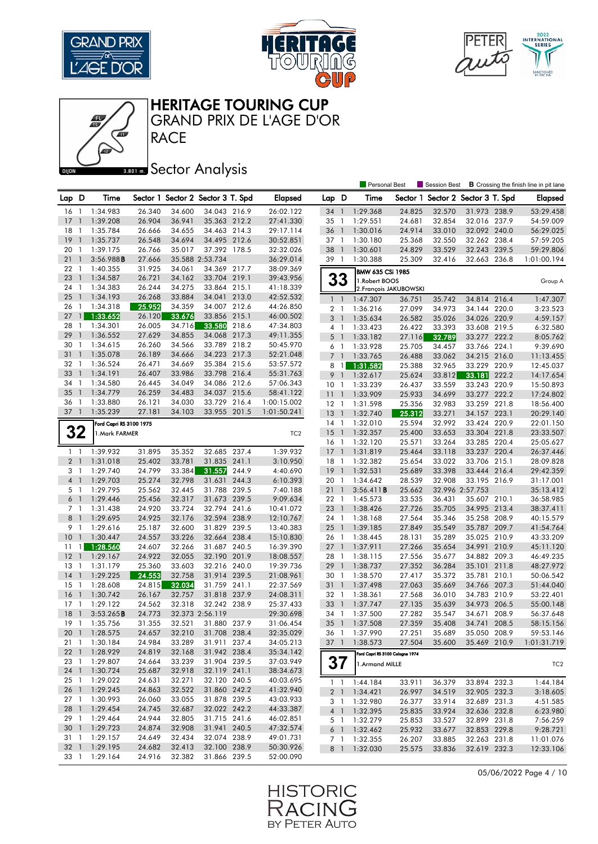







#### **BRONES** Sector Analysis

|                |                |                         |        |        |                                   |       |                 |                 |                | <b>Personal Best</b>               |                        | Session Best                      |                 |              | <b>B</b> Crossing the finish line in pit lane |
|----------------|----------------|-------------------------|--------|--------|-----------------------------------|-------|-----------------|-----------------|----------------|------------------------------------|------------------------|-----------------------------------|-----------------|--------------|-----------------------------------------------|
| Lap D          |                | Time                    |        |        | Sector 1 Sector 2 Sector 3 T. Spd |       | <b>Elapsed</b>  | Lap D           |                | Time                               |                        | Sector 1 Sector 2 Sector 3 T. Spd |                 |              | <b>Elapsed</b>                                |
| 16             | $\overline{1}$ | 1:34.983                | 26.340 | 34.600 | 34.043 216.9                      |       | 26:02.122       | 34              | $\overline{1}$ | 1:29.368                           | 24.825                 | 32.570                            | 31.973 238.9    |              | 53:29.458                                     |
| 17             | $\mathbf{1}$   | 1:39.208                | 26.904 | 36.941 | 35.363 212.2                      |       | 27:41.330       | 35              | $\overline{1}$ | 1:29.551                           | 24.681                 | 32.854                            |                 | 32.016 237.9 | 54:59.009                                     |
| 18             | $\mathbf{1}$   | 1:35.784                | 26.666 | 34.655 | 34.463 214.3                      |       | 29:17.114       | 36              | $\overline{1}$ | 1:30.016                           | 24.914                 | 33.010                            |                 | 32.092 240.0 | 56:29.025                                     |
| 19             | $\overline{1}$ | 1:35.737                | 26.548 | 34.694 | 34.495 212.6                      |       | 30:52.851       | 37 1            |                | 1:30.180                           | 25.368                 | 32.550                            | 32.262 238.4    |              | 57:59.205                                     |
| 20             | $\overline{1}$ | 1:39.175                | 26.766 | 35.017 | 37.392 178.5                      |       | 32:32.026       | 38              | $\overline{1}$ | 1:30.601                           | 24.829                 | 33.529                            | 32.243 239.5    |              | 59:29.806                                     |
| 21             | $\overline{1}$ | 3:56.988B               | 27.666 |        | 35.588 2:53.734                   |       | 36:29.014       | 39 1            |                | 1:30.388                           | 25.309                 | 32.416                            | 32.663          | 236.8        | 1:01:00.194                                   |
| 22             | $\overline{1}$ | 1:40.355                | 31.925 | 34.061 | 34.369 217.7                      |       | 38:09.369       |                 |                |                                    |                        |                                   |                 |              |                                               |
| 23             | $\overline{1}$ | 1:34.587                | 26.721 | 34.162 | 33.704 219.1                      |       | 39:43.956       |                 | 33             | BMW 635 CSi 1985<br>1. Robert BOOS |                        |                                   |                 |              |                                               |
| 24             | -1             | 1:34.383                | 26.244 | 34.275 | 33.864 215.1                      |       | 41:18.339       |                 |                |                                    | 2. François JAKUBOWSKI |                                   |                 |              | Group A                                       |
| 25             | $\overline{1}$ | 1:34.193                | 26.268 | 33.884 | 34.041 213.0                      |       | 42:52.532       | $1\quad$        |                | 1:47.307                           | 36.751                 | 35.742                            | 34.814 216.4    |              | 1:47.307                                      |
| 26             | $\overline{1}$ | 1:34.318                | 25.952 | 34.359 | 34.007 212.6                      |       | 44:26.850       | 2 <sub>1</sub>  |                | 1:36.216                           | 27.099                 | 34.973                            | 34.144 220.0    |              | 3:23.523                                      |
| 27             |                | 1:33.652                | 26.120 | 33.676 | 33.856 215.1                      |       | 46:00.502       | 3 <sup>1</sup>  |                | 1:35.634                           | 26.582                 | 35.026                            | 34.026 220.9    |              | 4:59.157                                      |
| 28             | $\mathbf{1}$   | 1:34.301                | 26.005 | 34.716 | 33.580                            | 218.6 | 47:34.803       | 4 1             |                | 1:33.423                           | 26.422                 | 33.393                            |                 | 33.608 219.5 | 6:32.580                                      |
| 29             | $\mathbf{1}$   | 1:36.552                | 27.629 | 34.855 | 34.068 217.3                      |       | 49:11.355       | 5 <sub>1</sub>  |                | 1:33.182                           | 27.116                 | 32.789                            | 33.277 222.2    |              | 8:05.762                                      |
| 30             | -1             | 1:34.615                | 26.260 | 34.566 | 33.789 218.2                      |       | 50:45.970       | 6 1             |                | 1:33.928                           | 25.705                 | 34.457                            | 33.766 224.1    |              | 9:39.690                                      |
| 31             | $\overline{1}$ | 1:35.078                | 26.189 | 34.666 | 34.223 217.3                      |       | 52:21.048       | 7 <sub>1</sub>  |                | 1:33.765                           | 26.488                 | 33.062                            | 34.215 216.0    |              | 11:13.455                                     |
| 32             | $\overline{1}$ | 1:36.524                | 26.471 | 34.669 | 35.384 215.6                      |       | 53:57.572       | 8 1             |                | 1:31.582                           | 25.388                 | 32.965                            | 33.229 220.9    |              | 12:45.037                                     |
| 33             | $\overline{1}$ | 1:34.191                | 26.407 | 33.986 | 33.798 216.4                      |       | 55:31.763       | 9 <sub>1</sub>  |                | 1:32.617                           | 25.624                 | 33.812                            | 33.181          | 222.2        | 14:17.654                                     |
| 34             | $\overline{1}$ | 1:34.580                | 26.445 | 34.049 | 34.086 212.6                      |       | 57:06.343       | 10 <sub>1</sub> |                | 1:33.239                           | 26.437                 | 33.559                            | 33.243 220.9    |              | 15:50.893                                     |
| 35             | $\overline{1}$ | 1:34.779                | 26.259 | 34.483 | 34.037                            | 215.6 | 58:41.122       | 11 <sub>1</sub> |                | 1:33.909                           | 25.933                 | 34.699                            | 33.277 222.2    |              | 17:24.802                                     |
| 36             | 1              | 1:33.880                | 26.121 | 34.030 | 33.729 216.4                      |       | 1:00:15.002     | $12-1$          |                | 1:31.598                           | 25.356                 | 32.983                            | 33.259          | 221.8        | 18:56.400                                     |
| $37-1$         |                | 1:35.239                | 27.181 | 34.103 | 33.955 201.5                      |       | 1:01:50.241     | $13-1$          |                | 1:32.740                           | 25.312                 | 33.271                            | 34.157 223.1    |              | 20:29.140                                     |
|                |                |                         |        |        |                                   |       |                 | $14-1$          |                | 1:32.010                           | 25.594                 | 32.992                            | 33.424 220.9    |              | 22:01.150                                     |
| 32             |                | Ford Capri RS 3100 1975 |        |        |                                   |       |                 | 15              | $\overline{1}$ | 1:32.357                           | 25.400                 | 33.653                            | 33.304 221.8    |              | 23:33.507                                     |
|                |                | 1. Mark FARMER          |        |        |                                   |       | TC <sub>2</sub> | 16 <sub>1</sub> |                | 1:32.120                           | 25.571                 | 33.264                            | 33.285 220.4    |              | 25:05.627                                     |
| $1\quad$       |                | 1:39.932                | 31.895 | 35.352 | 32.685                            | 237.4 | 1:39.932        | $17-1$          |                | 1:31.819                           | 25.464                 | 33.118                            | 33.237 220.4    |              | 26:37.446                                     |
| 2 <sub>1</sub> |                | 1:31.018                | 25.402 | 33.781 | 31.835 241.1                      |       | 3:10.950        | 18 1            |                | 1:32.382                           | 25.654                 | 33.022                            | 33.706 215.1    |              | 28:09.828                                     |
| 3 1            |                | 1:29.740                | 24.799 | 33.384 | 31.557                            | 244.9 | 4:40.690        | $19-1$          |                | 1:32.531                           | 25.689                 | 33.398                            | 33.444 216.4    |              | 29:42.359                                     |
| 4 <sup>1</sup> |                | 1:29.703                | 25.274 | 32.798 | 31.631 244.3                      |       | 6:10.393        | 20 1            |                | 1:34.642                           | 28.539                 | 32.908                            | 33.195 216.9    |              | 31:17.001                                     |
| 5 <sub>1</sub> |                | 1:29.795                | 25.562 | 32.445 | 31.788 239.5                      |       | 7:40.188        | 211             |                | 3:56.411B                          | 25.662                 |                                   | 32.996 2:57.753 |              | 35:13.412                                     |
| $6-1$          |                | 1:29.446                | 25.456 | 32.317 | 31.673 239.5                      |       | 9:09.634        | 22 1            |                | 1:45.573                           | 33.535                 | 36.431                            | 35.607 210.1    |              | 36:58.985                                     |
| 7 1            |                | 1:31.438                | 24.920 | 33.724 | 32.794 241.6                      |       | 10:41.072       | 23 1            |                | 1:38.426                           | 27.726                 | 35.705                            | 34.995 213.4    |              | 38:37.411                                     |
| 8 <sup>1</sup> |                | 1:29.695                | 24.925 | 32.176 | 32.594 238.9                      |       | 12:10.767       | 24 1            |                | 1:38.168                           | 27.564                 | 35.346                            | 35.258 208.9    |              | 40:15.579                                     |
| 9 1            |                | 1:29.616                | 25.187 | 32.600 | 31.829 239.5                      |       | 13:40.383       | 251             |                | 1:39.185                           | 27.849                 | 35.549                            | 35.787 209.7    |              | 41:54.764                                     |
| 10             | $\overline{1}$ | 1:30.447                | 24.557 | 33.226 | 32.664 238.4                      |       | 15:10.830       | 26 1            |                | 1:38.445                           | 28.131                 | 35.289                            | 35.025 210.9    |              | 43:33.209                                     |
| 11             |                | 1:28.560                | 24.607 | 32.266 | 31.687 240.5                      |       | 16:39.390       | 27 <sub>1</sub> |                | 1:37.911                           | 27.266                 | 35.654                            |                 | 34.991 210.9 | 45:11.120                                     |
| 12             | $\overline{1}$ | 1:29.167                | 24.922 | 32.055 | 32.190 201.9                      |       | 18:08.557       | 28 1            |                | 1:38.115                           | 27.556                 | 35.677                            | 34.882 209.3    |              | 46:49.235                                     |
| 13             | $\overline{1}$ | 1:31.179                | 25.360 | 33.603 | 32.216 240.0                      |       | 19:39.736       | 29              | $\overline{1}$ | 1:38.737                           | 27.352                 | 36.284                            | 35.101          | 211.8        | 48:27.972                                     |
| 14             | $\overline{1}$ | 1:29.225                | 24.553 | 32.758 | 31.914 239.5                      |       | 21:08.961       | 30 1            |                | 1:38.570                           | 27.417                 | 35.372                            | 35.781 210.1    |              | 50:06.542                                     |
| 15             | $\overline{1}$ | 1:28.608                | 24.815 | 32.034 | 31.759 241.1                      |       | 22:37.569       | 31 1            |                | 1:37.498                           | 27.063                 | 35.669                            | 34.766 207.3    |              | 51:44.040                                     |
| 16             | $\overline{1}$ | 1:30.742                | 26.167 | 32.757 | 31.818 237.9                      |       | 24:08.311       | 32 1            |                | 1:38.361                           | 27.568                 | 36.010                            | 34.783 210.9    |              | 53:22.401                                     |
| 17             | -1             | 1:29.122                | 24.562 | 32.318 | 32.242 238.9                      |       | 25:37.433       | 33 1            |                | 1:37.747                           | 27.135                 | 35.639                            | 34.973 206.5    |              | 55:00.148                                     |
| 18             | $\mathbf{1}$   | 3:53.265B               | 24.773 |        | 32.373 2:56.119                   |       | 29:30.698       | 34              | $\overline{1}$ | 1:37.500                           | 27.282                 | 35.547                            | 34.671          | 208.9        | 56:37.648                                     |
| $19-1$         |                | 1:35.756                | 31.355 | 32.521 | 31.880 237.9                      |       | 31:06.454       | $35 \quad 1$    |                | 1:37.508                           | 27.359                 | 35.408                            | 34.741 208.5    |              | 58:15.156                                     |
|                |                | 20 1 1:28.575           | 24.657 | 32.210 | 31.708 238.4                      |       | 32:35.029       |                 |                | 36 1 1:37.990                      | 27.251                 | 35.689                            | 35.050 208.9    |              | 59:53.146                                     |
|                |                | 21 1 1:30.184           | 24.984 | 33.289 | 31.911 237.4                      |       | 34:05.213       |                 |                | 37 1 1:38.573                      | 27.504                 | 35.600                            | 35.469 210.9    |              | 1:01:31.719                                   |
|                |                | 22 1 1:28.929           | 24.819 | 32.168 | 31.942 238.4                      |       | 35:34.142       |                 |                | Ford Capri RS 3100 Cologne 1974    |                        |                                   |                 |              |                                               |
|                |                | 23 1 1:29.807           | 24.664 | 33.239 | 31.904 239.5                      |       | 37:03.949       |                 | 37             | 1.Armand MILLE                     |                        |                                   |                 |              |                                               |
|                |                | 24 1 1:30.724           | 25.687 | 32.918 | 32.119 241.1                      |       | 38:34.673       |                 |                |                                    |                        |                                   |                 |              | TC <sub>2</sub>                               |
|                |                | 25 1 1:29.022           | 24.631 | 32.271 | 32.120 240.5                      |       | 40:03.695       |                 |                | $1 \quad 1 \quad 1:44.184$         | 33.911                 | 36.379                            | 33.894 232.3    |              | 1:44.184                                      |
|                |                | 26 1 1:29.245           | 24.863 | 32.522 | 31.860 242.2                      |       | 41:32.940       |                 |                | 2 1 1:34.421                       | 26.997                 | 34.519                            | 32.905 232.3    |              | 3:18.605                                      |
|                |                | 27 1 1:30.993           | 26.060 | 33.055 | 31.878 239.5                      |       | 43:03.933       |                 |                | 3 1 1:32.980                       | 26.377                 | 33.914                            | 32.689 231.3    |              | 4:51.585                                      |
|                |                | 28 1 1:29.454           | 24.745 | 32.687 | 32.022 242.2                      |       | 44:33.387       |                 |                | 4 1 1:32.395                       | 25.835                 | 33.924                            |                 | 32.636 232.8 | 6:23.980                                      |
|                |                | 29 1 1:29.464           | 24.944 | 32.805 | 31.715 241.6                      |       | 46:02.851       |                 |                | 5 1 1:32.279                       | 25.853                 | 33.527                            |                 | 32.899 231.8 | 7:56.259                                      |
|                |                | 30 1 1:29.723           | 24.874 | 32.908 | 31.941 240.5                      |       | 47:32.574       |                 |                | 6 1 1:32.462                       | 25.932                 | 33.677                            |                 | 32.853 229.8 | 9:28.721                                      |
|                |                | 31 1 1:29.157           | 24.649 | 32.434 | 32.074 238.9                      |       | 49:01.731       |                 | 7 1            | 1:32.355                           | 26.207                 | 33.885                            | 32.263 231.8    |              | 11:01.076                                     |
|                |                | 32 1 1:29.195           | 24.682 | 32.413 | 32.100 238.9                      |       | 50:30.926       |                 |                | 8 1 1:32.030                       | 25.575                 | 33.836                            | 32.619 232.3    |              | 12:33.106                                     |
|                |                | 33 1 1:29.164           | 24.916 | 32.382 | 31.866 239.5                      |       | 52:00.090       |                 |                |                                    |                        |                                   |                 |              |                                               |
|                |                |                         |        |        |                                   |       |                 |                 |                |                                    |                        |                                   |                 |              |                                               |

05/06/2022 Page 4 / 10

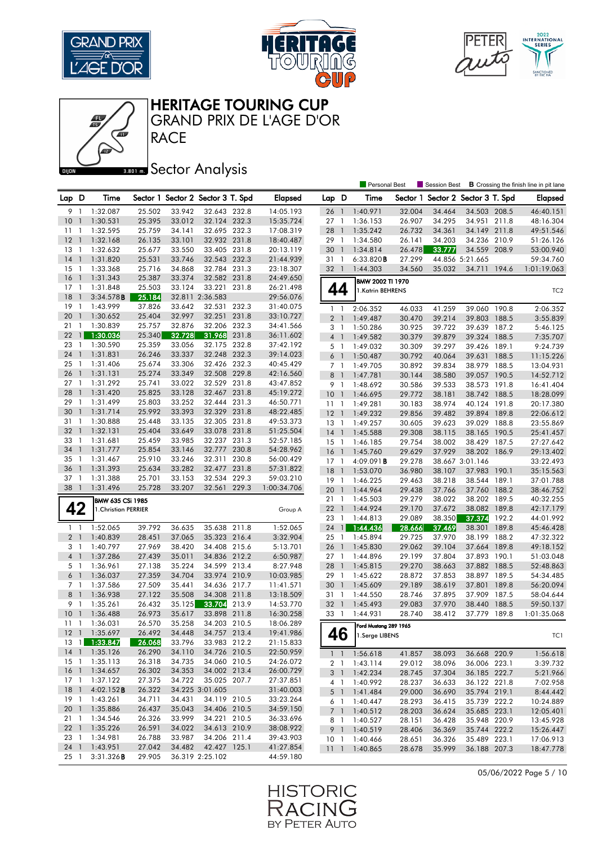







#### **BRONES** Sector Analysis

|                      |                          |                         |                  |                  |                                   |       |                        |                 |                | <b>Personal Best</b>  |          | Session Best             |                 |       | <b>B</b> Crossing the finish line in pit lane |
|----------------------|--------------------------|-------------------------|------------------|------------------|-----------------------------------|-------|------------------------|-----------------|----------------|-----------------------|----------|--------------------------|-----------------|-------|-----------------------------------------------|
| Lap D                |                          | Time                    |                  |                  | Sector 1 Sector 2 Sector 3 T. Spd |       | Elapsed                | Lap D           |                | Time                  | Sector 1 | Sector 2 Sector 3 T. Spd |                 |       | <b>Elapsed</b>                                |
| 9                    | -1                       | 1:32.087                | 25.502           | 33.942           | 32.643 232.8                      |       | 14:05.193              | 26              | $\overline{1}$ | 1:40.971              | 32.004   | 34.464                   | 34.503 208.5    |       | 46:40.151                                     |
| 10                   | $\mathbf{1}$             | 1:30.531                | 25.395           | 33.012           | 32.124 232.3                      |       | 15:35.724              | 27 1            |                | 1:36.153              | 26.907   | 34.295                   | 34.951 211.8    |       | 48:16.304                                     |
| 11                   | $\mathbf{1}$             | 1:32.595                | 25.759           | 34.141           | 32.695 232.3                      |       | 17:08.319              | 28              | $\overline{1}$ | 1:35.242              | 26.732   | 34.361                   | 34.149 211.8    |       | 49:51.546                                     |
| 12                   | $\overline{1}$           | 1:32.168                | 26.135           | 33.101           | 32.932 231.8                      |       | 18:40.487              | 29              | $\overline{1}$ | 1:34.580              | 26.141   | 34.203                   | 34.236 210.9    |       | 51:26.126                                     |
| 13                   | $\overline{1}$           | 1:32.632                | 25.677           | 33.550           | 33.405 231.8                      |       | 20:13.119              | 30              | $\overline{1}$ | 1:34.814              | 26.478   | 33.777                   | 34.559 208.9    |       | 53:00.940                                     |
| 14                   | $\overline{1}$           | 1:31.820                | 25.531           | 33.746           | 32.543 232.3                      |       | 21:44.939              | 31 1            |                | 6:33.820B             | 27.299   |                          | 44.856 5:21.665 |       | 59:34.760                                     |
| $15-1$               |                          | 1:33.368                | 25.716           | 34.868           | 32.784 231.3                      |       | 23:18.307              | 32 1            |                | 1:44.303              | 34.560   | 35.032                   | 34.711 194.6    |       | 1:01:19.063                                   |
| 16                   | $\overline{1}$           | 1:31.343                | 25.387           | 33.374           | 32.582 231.8                      |       | 24:49.650              |                 |                |                       |          |                          |                 |       |                                               |
| 17                   | $\overline{1}$           | 1:31.848                | 25.503           | 33.124           | 33.221 231.8                      |       | 26:21.498              |                 |                | BMW 2002 TI 1970      |          |                          |                 |       |                                               |
| 18                   | $\overline{1}$           | 3:34.578B               | 25.184           |                  | 32.811 2:36.583                   |       | 29:56.076              | 44              |                | 1.Katrin BEHRENS      |          |                          |                 |       | TC <sub>2</sub>                               |
| 19                   | $\overline{1}$           | 1:43.999                | 37.826           | 33.642           | 32.531 232.3                      |       | 31:40.075              | 1 <sup>1</sup>  |                | 2:06.352              | 46.033   | 41.259                   | 39.060 190.8    |       | 2:06.352                                      |
| 20                   | $\overline{1}$           | 1:30.652                | 25.404           | 32.997           | 32.251 231.8                      |       | 33:10.727              | 2 <sup>1</sup>  |                | 1:49.487              | 30.470   | 39.214                   | 39.803 188.5    |       | 3:55.839                                      |
| 21                   | $\mathbf{1}$             | 1:30.839                | 25.757           | 32.876           | 32.206 232.3                      |       | 34:41.566              | $3-1$           |                | 1:50.286              | 30.925   | 39.722                   | 39.639 187.2    |       | 5:46.125                                      |
| 22                   | $\mathbf{1}$             | 1:30.036                | 25.340           | 32.728           | 31.968 231.8                      |       | 36:11.602              | $4-1$           |                | 1:49.582              | 30.379   | 39.879                   | 39.324 188.5    |       | 7:35.707                                      |
| 23                   | $\mathbf{1}$             | 1:30.590                | 25.359           | 33.056           | 32.175 232.8                      |       | 37:42.192              | 5 <sub>1</sub>  |                | 1:49.032              | 30.309   | 39.297                   | 39.426 189.1    |       | 9:24.739                                      |
| 24                   | $\mathbf{1}$             | 1:31.831                | 26.246           | 33.337           | 32.248 232.3                      |       | 39:14.023              | $6-1$           |                | 1:50.487              | 30.792   | 40.064                   | 39.631          | 188.5 | 11:15.226                                     |
| 25                   | $\overline{1}$           | 1:31.406                | 25.674           | 33.306           | 32.426 232.3                      |       | 40:45.429              | 7 <sub>1</sub>  |                | 1:49.705              | 30.892   | 39.834                   | 38.979 188.5    |       | 13:04.931                                     |
| 26                   | $\overline{1}$           | 1:31.131                | 25.274           | 33.349           | 32.508 229.8                      |       | 42:16.560              | 8               | $\overline{1}$ | 1:47.781              | 30.144   | 38.580                   | 39.057 190.5    |       | 14:52.712                                     |
| 27 1                 |                          | 1:31.292                | 25.741           | 33.022           | 32.529 231.8                      |       | 43:47.852              | 9               | $\overline{1}$ | 1:48.692              | 30.586   | 39.533                   | 38.573 191.8    |       | 16:41.404                                     |
| 28                   | $\overline{1}$           | 1:31.420                | 25.825           | 33.128           | 32.467 231.8                      |       | 45:19.272              | 10 <sup>°</sup> | $\overline{1}$ | 1:46.695              | 29.772   | 38.181                   | 38.742 188.5    |       | 18:28.099                                     |
| 29                   | $\mathbf{1}$             | 1:31.499                | 25.803           | 33.252           | 32.444 231.3                      |       | 46:50.771              | 11              | $\overline{1}$ | 1:49.281              | 30.183   | 38.974                   | 40.124          | 191.8 | 20:17.380                                     |
| 30                   | $\overline{1}$           | 1:31.714                | 25.992           | 33.393           | 32.329 231.8                      |       | 48:22.485              | 12              | $\overline{1}$ | 1:49.232              | 29.856   | 39.482                   | 39.894 189.8    |       | 22:06.612                                     |
| 31                   | $\overline{1}$           | 1:30.888                | 25.448           | 33.135           | 32.305 231.8                      |       | 49:53.373              | $13-1$          |                | 1:49.257              | 30.605   | 39.623                   | 39.029 188.8    |       | 23:55.869                                     |
| 32                   | $\overline{1}$           | 1:32.131                | 25.404           | 33.649           | 33.078 231.8                      |       | 51:25.504              | 14              | $\overline{1}$ | 1:45.588              | 29.308   | 38.115                   | 38.165 190.5    |       | 25:41.457                                     |
| 33                   | $\mathbf{1}$             | 1:31.681                | 25.459           | 33.985           | 32.237 231.3                      |       | 52:57.185              | $15-1$          |                | 1:46.185              | 29.754   | 38.002                   | 38.429 187.5    |       | 27:27.642                                     |
| 34                   | $\overline{1}$           | 1:31.777                | 25.854           | 33.146           | 32.777 230.8                      |       | 54:28.962              | 16              | $\overline{1}$ | 1:45.760              | 29.629   | 37.929                   | 38.202 186.9    |       | 29:13.402                                     |
| 35                   | $\mathbf{1}$             | 1:31.467                | 25.910           | 33.246           | 32.311                            | 230.8 | 56:00.429              | $17-1$          |                | 4:09.091B             | 29.278   |                          | 38.667 3:01.146 |       | 33:22.493                                     |
| 36                   | -1                       | 1:31.393                | 25.634           | 33.282           | 32.477 231.8                      |       | 57:31.822              | 18              | $\overline{1}$ | 1:53.070              | 36.980   | 38.107                   | 37.983 190.1    |       | 35:15.563                                     |
| 37 1                 |                          | 1:31.388                | 25.701           | 33.153           | 32.534 229.3                      |       | 59:03.210              | 19              | $\overline{1}$ | 1:46.225              | 29.463   | 38.218                   | 38.544 189.1    |       | 37:01.788                                     |
| 38                   | $\overline{\phantom{a}}$ | 1:31.496                | 25.728           | 33.207           | 32.561 229.3                      |       | 1:00:34.706            | 20              | $\overline{1}$ | 1:44.964              | 29.438   | 37.766                   | 37.760 188.2    |       | 38:46.752                                     |
|                      |                          | <b>BMW 635 CSi 1985</b> |                  |                  |                                   |       |                        | 21              | $\overline{1}$ | 1:45.503              | 29.279   | 38.022                   | 38.202 189.5    |       | 40:32.255                                     |
| 42                   |                          | 1. Christian PERRIER    |                  |                  |                                   |       | Group A                | 22              | $\overline{1}$ | 1:44.924              | 29.170   | 37.672                   | 38.082 189.8    |       | 42:17.179                                     |
|                      |                          |                         |                  |                  |                                   |       |                        | 23              | $\overline{1}$ | 1:44.813              | 29.089   | 38.350                   | 37.374          | 192.2 | 44:01.992                                     |
| $1\quad1$            |                          | 1:52.065                | 39.792           | 36.635           | 35.638 211.8                      |       | 1:52.065               | 24              | $\mathbf{1}$   | 1:44.436              | 28.666   | 37.469                   | 38.301          | 189.8 | 45:46.428                                     |
| 2 <sub>1</sub>       |                          | 1:40.839                | 28.451           | 37.065           | 35.323 216.4                      |       | 3:32.904               | 25 1            |                | 1:45.894              | 29.725   | 37.970                   | 38.199          | 188.2 | 47:32.322                                     |
| 3 <sub>1</sub>       |                          | 1:40.797                | 27.969           | 38.420           | 34.408 215.6                      |       | 5:13.701               | 26              | $\overline{1}$ | 1:45.830              | 29.062   | 39.104                   | 37.664          | 189.8 | 49:18.152                                     |
| 4 <sup>1</sup>       |                          | 1:37.286                | 27.439           | 35.011           | 34.836 212.2                      |       | 6:50.987               | 27 1            |                | 1:44.896              | 29.199   | 37.804                   | 37.893 190.1    |       | 51:03.048                                     |
| 5 <sub>1</sub>       |                          | 1:36.961                | 27.138           | 35.224           | 34.599 213.4                      |       | 8:27.948               | 28              | $\overline{1}$ | 1:45.815              | 29.270   | 38.663                   | 37.882 188.5    |       | 52:48.863                                     |
| $6-1$                |                          | 1:36.037                | 27.359           | 34.704           | 33.974 210.9                      |       | 10:03.985              | 29 1            |                | 1:45.622              | 28.872   | 37.853                   | 38.897 189.5    |       | 54:34.485                                     |
| 7 <sub>1</sub>       |                          | 1:37.586                | 27.509           | 35.441           | 34.636 217.7                      |       | 11:41.571              | 30              | $\overline{1}$ | 1:45.609              | 29.189   | 38.619                   | 37.801          | 189.8 | 56:20.094                                     |
| 8 <sup>1</sup>       |                          | 1:36.938                | 27.122           | 35.508           | 34.308 211.8                      |       | 13:18.509              | 31              | $\overline{1}$ | 1:44.550              | 28.746   | 37.895                   | 37.909 187.5    |       | 58:04.644                                     |
| 9 1                  |                          | 1:35.261                | 26.432           | 35.125           | 33.704                            | 213.9 | 14:53.770              | 32 1            |                | 1:45.493              | 29.083   | 37.970                   | 38.440          | 188.5 | 59:50.137                                     |
| 10                   | $\overline{1}$           | 1:36.488                | 26.973           | 35.617           | 33.898 211.8                      |       | 16:30.258              | 33 1            |                | 1:44.931              | 28.740   | 38.412                   | 37.779          | 189.8 | 1:01:35.068                                   |
| $11 \quad 1$         |                          | 1:36.031                | 26.570           | 35.258           | 34.203 210.5                      |       | 18:06.289              |                 |                | Ford Mustang 289 1965 |          |                          |                 |       |                                               |
|                      |                          | 12 1 1:35.697           | 26.492           | 34.448           | 34.757 213.4                      |       | 19:41.986              | 40              | c              | 1.Serge LIBENS        |          |                          |                 |       | TC1                                           |
|                      |                          | 13 1 1:33.847           | 26.068           | 33.796           | 33.983 212.2                      |       | 21:15.833              |                 |                |                       |          |                          |                 |       |                                               |
|                      |                          | 14 1 1:35.126           | 26.290           | 34.110           | 34.726 210.5                      |       | 22:50.959              |                 |                | 1 1 1:56.618          | 41.857   | 38.093                   | 36.668 220.9    |       | 1:56.618                                      |
| $15-1$               |                          | 1:35.113                | 26.318           | 34.735           | 34.060 210.5                      |       | 24:26.072              | 2 <sub>1</sub>  |                | 1:43.114              | 29.012   | 38.096                   | 36.006 223.1    |       | 3:39.732                                      |
|                      |                          | 16 1 1:34.657           | 26.302           | 34.353           | 34.002 213.4                      |       | 26:00.729              |                 |                | 3 1 1:42.234          | 28.745   | 37.304                   | 36.185 222.7    |       | 5:21.966                                      |
|                      |                          | 17 1 1:37.122           | 27.375           | 34.722           | 35.025 207.7                      |       | 27:37.851              | 4 1             |                | 1:40.992              | 28.237   | 36.633                   | 36.122 221.8    |       | 7:02.958                                      |
| 18 <sup>1</sup>      |                          | $4:02.152$ B            | 26.322           |                  | 34.225 3:01.605                   |       | 31:40.003              |                 |                | 5 1 1:41.484          | 29.000   | 36.690                   | 35.794 219.1    |       | 8:44.442                                      |
| $19-1$<br>20 1       |                          | 1:43.261<br>1:35.886    | 34.711<br>26.437 | 34.431<br>35.043 | 34.119 210.5<br>34.406 210.5      |       | 33:23.264<br>34:59.150 |                 |                | 6 1 1:40.447          | 28.293   | 36.415                   | 35.739 222.2    |       | 10:24.889                                     |
|                      |                          | 1:34.546                | 26.326           | 33.999           | 34.221 210.5                      |       | 36:33.696              |                 |                | 7 1 1:40.512          | 28.203   | 36.624                   | 35.685 223.1    |       | 12:05.401                                     |
| 21 1<br>$22 \quad 1$ |                          | 1:35.226                | 26.591           | 34.022           | 34.613 210.9                      |       | 38:08.922              |                 |                | 8 1 1:40.527          | 28.151   | 36.428                   | 35.948 220.9    |       | 13:45.928                                     |
| 23 1                 |                          | 1:34.981                | 26.788           | 33.987           | 34.206 211.4                      |       | 39:43.903              |                 | 9 1            | 1:40.519              | 28.406   | 36.369                   | 35.744 222.2    |       | 15:26.447                                     |
| 24 1                 |                          | 1:43.951                | 27.042           | 34.482           | 42.427 125.1                      |       | 41:27.854              | 10 <sub>1</sub> |                | 1:40.466              | 28.651   | 36.326                   | 35.489 223.1    |       | 17:06.913                                     |
| $25 \quad 1$         |                          | 3:31.326B               | 29.905           |                  | 36.319 2:25.102                   |       | 44:59.180              |                 |                | 11 1:40.865           | 28.678   | 35.999                   | 36.188 207.3    |       | 18:47.778                                     |
|                      |                          |                         |                  |                  |                                   |       |                        |                 |                |                       |          |                          |                 |       |                                               |

05/06/2022 Page 5 / 10

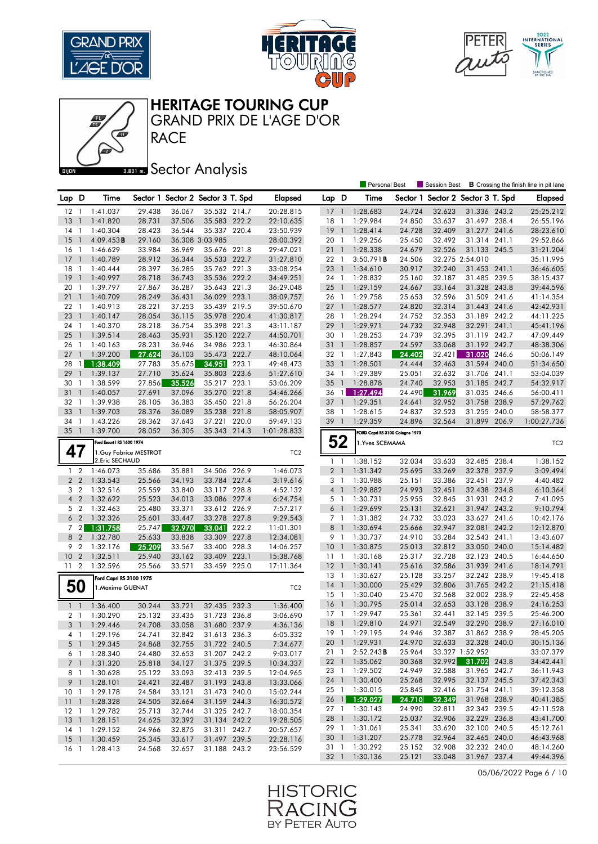







#### **BRONES** Sector Analysis

|                 |                |                            |        |        |                                   |       |                 |                 |                          | <b>Personal Best</b>            |                  | Session Best                      |                 |       | <b>B</b> Crossing the finish line in pit lane |
|-----------------|----------------|----------------------------|--------|--------|-----------------------------------|-------|-----------------|-----------------|--------------------------|---------------------------------|------------------|-----------------------------------|-----------------|-------|-----------------------------------------------|
| Lap D           |                | Time                       |        |        | Sector 1 Sector 2 Sector 3 T. Spd |       | <b>Elapsed</b>  | Lap D           |                          | Time                            |                  | Sector 1 Sector 2 Sector 3 T. Spd |                 |       | Elapsed                                       |
| 12              | -1             | 1:41.037                   | 29.438 | 36.067 | 35.532 214.7                      |       | 20:28.815       | 17              | $\overline{1}$           | 1:28.683                        | 24.724           | 32.623                            | 31.336 243.2    |       | 25:25.212                                     |
| 13              | $\mathbf{1}$   | 1:41.820                   | 28.731 | 37.506 | 35.583 222.2                      |       | 22:10.635       | 18              | -1                       | 1:29.984                        | 24.850           | 33.637                            | 31.497 238.4    |       | 26:55.196                                     |
| 14              | $\overline{1}$ | 1:40.304                   | 28.423 | 36.544 | 35.337 220.4                      |       | 23:50.939       | 19              | $\overline{1}$           | 1:28.414                        | 24.728           | 32.409                            | 31.277          | 241.6 | 28:23.610                                     |
| 15              | $\mathbf{1}$   | 4:09.453B                  | 29.160 |        | 36.308 3:03.985                   |       | 28:00.392       | 20              | - 1                      | 1:29.256                        | 25.450           | 32.492                            | 31.314 241.1    |       | 29:52.866                                     |
| 16              | -1             | 1:46.629                   | 33.984 | 36.969 | 35.676 221.8                      |       | 29:47.021       | 211             |                          | 1:28.338                        | 24.679           | 32.526                            | 31.133 245.5    |       | 31:21.204                                     |
| 17              | $\overline{1}$ | 1:40.789                   | 28.912 | 36.344 | 35.533 222.7                      |       | 31:27.810       | 22 1            |                          | 3:50.791B                       | 24.506           |                                   | 32.275 2:54.010 |       | 35:11.995                                     |
| 18              | $\overline{1}$ | 1:40.444                   | 28.397 | 36.285 | 35.762 221.3                      |       | 33:08.254       | 23              | $\overline{1}$           | 1:34.610                        | 30.917           | 32.240                            | 31.453 241.1    |       | 36:46.605                                     |
| 19              | $\mathbf{1}$   | 1:40.997                   | 28.718 | 36.743 | 35.536 222.2                      |       | 34:49.251       | 24 1            |                          | 1:28.832                        | 25.160           | 32.187                            | 31.485 239.5    |       | 38:15.437                                     |
| 20              | -1             | 1:39.797                   | 27.867 | 36.287 | 35.643 221.3                      |       | 36:29.048       | 25              | $\overline{1}$           | 1:29.159                        | 24.667           | 33.164                            | 31.328 243.8    |       | 39:44.596                                     |
| 21              | $\mathbf{1}$   | 1:40.709                   | 28.249 | 36.431 | 36.029 223.1                      |       | 38:09.757       | 26 1            |                          | 1:29.758                        | 25.653           | 32.596                            | 31.509 241.6    |       | 41:14.354                                     |
| 22              | -1             | 1:40.913                   | 28.221 | 37.253 | 35.439 219.5                      |       | 39:50.670       | $27-1$          |                          | 1:28.577                        | 24.820           | 32.314                            | 31.443 241.6    |       | 42:42.931                                     |
| 23              | $\overline{1}$ | 1:40.147                   | 28.054 | 36.115 | 35.978 220.4                      |       | 41:30.817       | 28 1            |                          | 1:28.294                        | 24.752           | 32.353                            | 31.189 242.2    |       | 44:11.225                                     |
| 24              | -1             | 1:40.370                   | 28.218 | 36.754 | 35.398 221.3                      |       | 43:11.187       | 29              | $\overline{1}$           | 1:29.971                        | 24.732           | 32.948                            | 32.291          | 241.1 | 45:41.196                                     |
| 25              | $\mathbf{1}$   | 1:39.514                   | 28.463 | 35.931 | 35.120 222.7                      |       | 44:50.701       | 30              | -1                       | 1:28.253                        | 24.739           | 32.395                            | 31.119 242.7    |       | 47:09.449                                     |
| 26              | -1             | 1:40.163                   | 28.231 | 36.946 | 34.986 223.1                      |       | 46:30.864       | 311             |                          | 1:28.857                        | 24.597           | 33.068                            | 31.192 242.7    |       | 48:38.306                                     |
| 27              | $\mathbf{1}$   | 1:39.200                   | 27.624 | 36.103 | 35.473 222.7                      |       | 48:10.064       | 32 1            |                          | 1:27.843                        | 24.402           | 32.421                            | 31.020          | 246.6 | 50:06.149                                     |
| 28              | $\mathbf{1}$   | 1:38.409                   | 27.783 | 35.675 | 34.951                            | 223.1 | 49:48.473       | 33              | $\overline{1}$           | 1:28.501                        | 24.444           | 32.463                            | 31.594 240.0    |       | 51:34.650                                     |
| 29              | $\overline{1}$ | 1:39.137                   | 27.710 | 35.624 | 35.803 223.6                      |       | 51:27.610       | 34 1            |                          | 1:29.389                        | 25.051           | 32.632                            | 31.706 241.1    |       | 53:04.039                                     |
| 30              | -1             | 1:38.599                   | 27.856 | 35.526 | 35.217 223.1                      |       | 53:06.209       | 35              | $\overline{1}$           | 1:28.878                        | 24.740           | 32.953                            | 31.185 242.7    |       | 54:32.917                                     |
| 31              | $\mathbf{1}$   | 1:40.057                   | 27.691 | 37.096 | 35.270 221.8                      |       | 54:46.266       | 36 1            |                          | 1:27.494                        | 24.490           | 31.969                            | 31.035 246.6    |       | 56:00.411                                     |
| 32              | $\mathbf{1}$   | 1:39.938                   | 28.105 | 36.383 | 35.450 221.8                      |       | 56:26.204       | 37              | $\bigcirc$               | 1:29.351                        | 24.641           | 32.952                            | 31.758 238.9    |       | 57:29.762                                     |
| 33              | $\mathbf{1}$   | 1:39.703                   | 28.376 | 36.089 | 35.238 221.8                      |       | 58:05.907       | 38 1            |                          | 1:28.615                        | 24.837           | 32.523                            | 31.255 240.0    |       | 58:58.377                                     |
| 34              | -1             | 1:43.226                   | 28.362 | 37.643 | 37.221                            | 220.0 | 59:49.133       | 39              | $\overline{\phantom{a}}$ | 1:29.359                        | 24.896           | 32.564                            | 31.899 206.9    |       | 1:00:27.736                                   |
| $35-1$          |                | 1:39.700                   | 28.052 | 36.305 | 35.343 214.3                      |       | 1:01:28.833     |                 |                          | FORD Capri RS 3100 Cologne 1973 |                  |                                   |                 |       |                                               |
|                 |                | Ford Escort   RS 1600 1974 |        |        |                                   |       |                 | 52              |                          | 1. Yves SCEMAMA                 |                  |                                   |                 |       | TC <sub>2</sub>                               |
| 47              |                | 1. Guy Fabrice MESTROT     |        |        |                                   |       | TC <sub>2</sub> |                 |                          |                                 |                  |                                   |                 |       |                                               |
|                 |                | 2.Eric SECHAUD             |        |        |                                   |       |                 | $1 \quad 1$     |                          | 1:38.152                        | 32.034           | 33.633                            | 32.485 238.4    |       | 1:38.152                                      |
| $1\quad2$       |                | 1:46.073                   | 35.686 | 35.881 | 34.506 226.9                      |       | 1:46.073        | 2 <sub>1</sub>  |                          | 1:31.342                        | 25.695           | 33.269                            | 32.378 237.9    |       | 3:09.494                                      |
| 2 <sub>2</sub>  |                | 1:33.543                   | 25.566 | 34.193 | 33.784 227.4                      |       | 3:19.616        | 3 1             |                          | 1:30.988                        | 25.151           | 33.386                            | 32.451 237.9    |       | 4:40.482                                      |
| 3 <sub>2</sub>  |                | 1:32.516                   | 25.559 | 33.840 | 33.117 228.8                      |       | 4:52.132        | $4-1$           |                          | 1:29.882                        | 24.993           | 32.451                            | 32.438 234.8    |       | 6:10.364                                      |
| $\overline{4}$  | $\overline{2}$ | 1:32.622                   | 25.523 | 34.013 | 33.086 227.4                      |       | 6:24.754        | 5 1             |                          | 1:30.731                        | 25.955           | 32.845                            | 31.931 243.2    |       | 7:41.095                                      |
| 5 <sub>2</sub>  |                | 1:32.463                   | 25.480 | 33.371 | 33.612 226.9                      |       | 7:57.217        | 6 <sup>1</sup>  |                          | 1:29.699                        | 25.131           | 32.621                            | 31.947 243.2    |       | 9:10.794                                      |
| 6 <sub>2</sub>  |                | 1:32.326                   | 25.601 | 33.447 | 33.278                            | 227.8 | 9:29.543        | 7 <sub>1</sub>  |                          | 1:31.382                        | 24.732           | 33.023                            | 33.627          | 241.6 | 10:42.176                                     |
| 72              |                | 1:31.758                   | 25.747 | 32.970 | 33.041                            | 222.2 | 11:01.301       | 8               | $\overline{1}$           | 1:30.694                        | 25.666           | 32.947                            | 32.081 242.2    |       | 12:12.870                                     |
| 8 2             |                | 1:32.780                   | 25.633 | 33.838 | 33.309                            | 227.8 | 12:34.081       | 9 1             |                          | 1:30.737                        | 24.910           | 33.284                            | 32.543 241.1    |       | 13:43.607                                     |
| 9               | $\overline{2}$ | 1:32.176                   | 25.209 | 33.567 | 33.400                            | 228.3 | 14:06.257       | 10 <sup>°</sup> | $\overline{\phantom{a}}$ | 1:30.875                        | 25.013           | 32.812                            | 33.050 240.0    |       | 15:14.482                                     |
| 10              | $\overline{2}$ | 1:32.511                   | 25.940 | 33.162 | 33.409 223.1                      |       | 15:38.768       | $11-1$          |                          | 1:30.168                        | 25.317           | 32.728                            | 32.123 240.5    |       | 16:44.650                                     |
| 11 <sub>2</sub> |                | 1:32.596                   | 25.566 | 33.571 | 33.459 225.0                      |       | 17:11.364       | $12-1$          |                          | 1:30.141                        | 25.616           | 32.586                            | 31.939 241.6    |       | 18:14.791                                     |
|                 |                | Ford Capri RS 3100 1975    |        |        |                                   |       |                 | $13-1$          |                          | 1:30.627                        | 25.128           | 33.257                            | 32.242 238.9    |       | 19:45.418                                     |
| 50              |                | 1.Maxime GUENAT            |        |        |                                   |       | TC <sub>2</sub> | $14-1$          |                          | 1:30.000                        | 25.429           | 32.806                            | 31.765 242.2    |       | 21:15.418                                     |
|                 |                |                            |        |        |                                   |       |                 | 15              | $\overline{1}$           | 1:30.040                        | 25.470           | 32.568                            | 32.002 238.9    |       | 22:45.458                                     |
| $1 \quad 1$     |                | 1:36.400                   | 30.244 | 33.721 | 32.435 232.3                      |       | 1:36.400        | 16              | $\overline{1}$           | 1:30.795                        | 25.014           | 32.653                            | 33.128 238.9    |       | 24:16.253                                     |
| 2 <sub>1</sub>  |                | 1:30.290                   | 25.132 | 33.435 | 31.723 236.8                      |       | 3:06.690        | $17-1$          |                          | 1:29.947                        | 25.361           | 32.441                            | 32.145 239.5    |       | 25:46.200                                     |
| 3 <sup>1</sup>  |                | 1:29.446                   | 24.708 | 33.058 | 31.680 237.9                      |       | 4:36.136        | $18-1$          |                          | 1:29.810                        | 24.971           | 32.549                            | 32.290 238.9    |       | 27:16.010                                     |
| 41              |                | 1:29.196                   | 24.741 | 32.842 | 31.613 236.3                      |       | 6:05.332        |                 |                          | 19 1 1:29.195                   | 24.946           | 32.387                            | 31.862 238.9    |       | 28:45.205                                     |
| 5 <sub>1</sub>  |                | 1:29.345                   | 24.868 | 32.755 | 31.722 240.5                      |       | 7:34.677        |                 |                          | 20 1 1:29.931                   | 24.970           | 32.633                            | 32.328 240.0    |       | 30:15.136                                     |
| 61              |                | 1:28.340                   | 24.480 | 32.653 | 31.207 242.2                      |       | 9:03.017        | 211             |                          | 2:52.243B                       | 25.964           |                                   | 33.327 1:52.952 |       | 33:07.379                                     |
| 7 <sub>1</sub>  |                | 1:31.320                   | 25.818 | 34.127 | 31.375 239.5                      |       | 10:34.337       |                 |                          | 22 1 1:35.062                   | 30.368           | 32.992                            | 31.702 243.8    |       | 34:42.441                                     |
| 8 1             |                | 1:30.628                   | 25.122 | 33.093 | 32.413 239.5                      |       | 12:04.965       |                 |                          | 23 1 1:29.502                   | 24.949           | 32.588                            | 31.965 242.7    |       | 36:11.943                                     |
|                 |                | 9 1 1:28.101               | 24.421 | 32.487 | 31.193 243.8                      |       | 13:33.066       |                 |                          | 24 1 1:30.400                   | 25.268           | 32.995                            | 32.137 245.5    |       | 37:42.343                                     |
| 10 <sub>1</sub> |                | 1:29.178                   | 24.584 | 33.121 | 31.473 240.0                      |       | 15:02.244       |                 |                          | 25 1 1:30.015                   | 25.845           | 32.416                            | 31.754 241.1    |       | 39:12.358                                     |
| $11 \quad 1$    |                | 1:28.328                   | 24.505 | 32.664 | 31.159 244.3                      |       | 16:30.572       | $26 \quad 1$    |                          | 1:29.027                        | 24.710           | 32.349                            | 31.968 238.9    |       | 40:41.385                                     |
| $12-1$          |                | 1:29.782                   | 25.713 | 32.744 | 31.325 242.7                      |       | 18:00.354       |                 |                          | 27 1 1:30.143                   | 24.990           | 32.811                            | 32.342 239.5    |       | 42:11.528                                     |
| $13-1$          |                | 1:28.151                   | 24.625 | 32.392 | 31.134 242.2                      |       | 19:28.505       |                 |                          | 28 1 1:30.172                   | 25.037           | 32.906                            | 32.229 236.8    |       | 43:41.700                                     |
| $14-1$          |                | 1:29.152                   | 24.966 | 32.875 | 31.311 242.7                      |       | 20:57.657       | 29 1            |                          | 1:31.061                        | 25.341           | 33.620                            | 32.100 240.5    |       | 45:12.761                                     |
| $15-1$          |                | 1:30.459                   | 25.345 | 33.617 | 31.497 239.5                      |       | 22:28.116       |                 |                          | 30 1 1:31.207                   | 25.778           | 32.964                            | 32.465 240.0    |       | 46:43.968                                     |
| 16 <sub>1</sub> |                | 1:28.413                   | 24.568 | 32.657 | 31.188 243.2                      |       | 23:56.529       | 31 1            |                          | 1:30.292                        | 25.152<br>25.121 | 32.908                            | 32.232 240.0    |       | 48:14.260                                     |
|                 |                |                            |        |        |                                   |       |                 |                 |                          | 32 1 1:30.136                   |                  | 33.048                            | 31.967 237.4    |       | 49:44.396                                     |

05/06/2022 Page 6 / 10

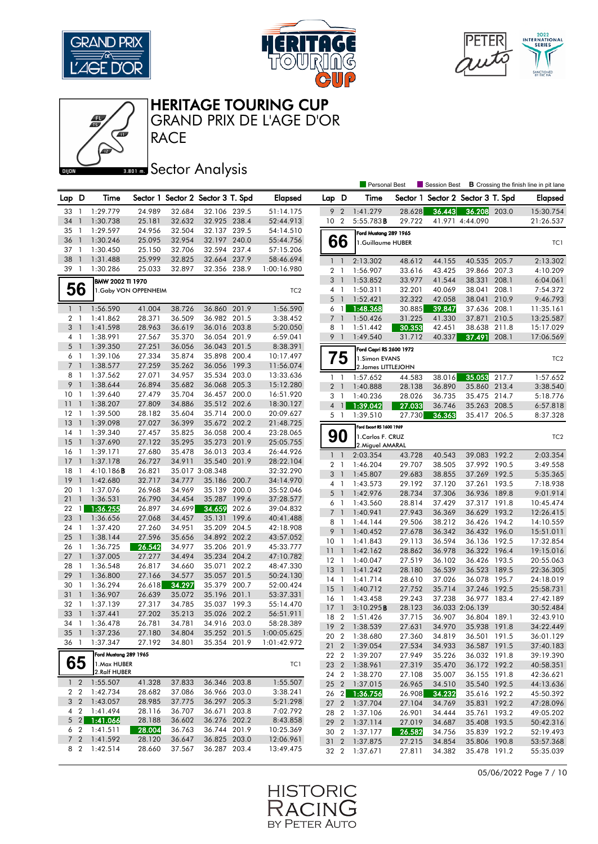







## **BRONES** Sector Analysis

|                |                          |                            |                  |                  |                                   |       |                        |                 |                          | <b>Personal Best</b>     |                  | Session Best             |                              |       | <b>B</b> Crossing the finish line in pit lane |
|----------------|--------------------------|----------------------------|------------------|------------------|-----------------------------------|-------|------------------------|-----------------|--------------------------|--------------------------|------------------|--------------------------|------------------------------|-------|-----------------------------------------------|
| Lap D          |                          | Time                       |                  |                  | Sector 1 Sector 2 Sector 3 T. Spd |       | <b>Elapsed</b>         | Lap D           |                          | Time                     | Sector 1         | Sector 2 Sector 3 T. Spd |                              |       | <b>Elapsed</b>                                |
| 33             | $\overline{1}$           | 1:29.779                   | 24.989           | 32.684           | 32.106 239.5                      |       | 51:14.175              | 9               | $\overline{2}$           | 1:41.279                 | 28.628           | 36.443                   | 36.208                       | 203.0 | 15:30.754                                     |
| 34             | $\mathbf{1}$             | 1:30.738                   | 25.181           | 32.632           | 32.925 238.4                      |       | 52:44.913              | 10 <sub>2</sub> |                          | 5:55.783B                | 29.722           |                          | 41.971 4:44.090              |       | 21:26.537                                     |
| 35             | -1                       | 1:29.597                   | 24.956           | 32.504           | 32.137 239.5                      |       | 54:14.510              |                 |                          | Ford Mustang 289 1965    |                  |                          |                              |       |                                               |
| 36             | $\mathbf{1}$             | 1:30.246                   | 25.095           | 32.954           | 32.197 240.0                      |       | 55:44.756              |                 | 66                       | 1.Guillaume HUBER        |                  |                          |                              |       | TC1                                           |
| 37             | - 1                      | 1:30.450                   | 25.150           | 32.706           | 32.594 237.4                      |       | 57:15.206              |                 |                          |                          |                  |                          |                              |       |                                               |
| 38             | $\mathbf{1}$             | 1:31.488                   | 25.999           | 32.825           | 32.664 237.9                      |       | 58:46.694              | $\mathbf{1}$    | $\overline{1}$           | 2:13.302                 | 48.612           | 44.155                   | 40.535 205.7                 |       | 2:13.302                                      |
| 39             | $\overline{1}$           | 1:30.286                   | 25.033           | 32.897           | 32.356 238.9                      |       | 1:00:16.980            |                 | 2 <sub>1</sub>           | 1:56.907                 | 33.616           | 43.425                   | 39.866 207.3                 |       | 4:10.209                                      |
|                |                          | BMW 2002 TI 1970           |                  |                  |                                   |       |                        | 3               | $\overline{1}$           | 1:53.852                 | 33.977           | 41.544                   | 38.331                       | 208.1 | 6:04.061                                      |
|                | 56                       | 1. Gaby VON OPPENHEIM      |                  |                  |                                   |       | TC <sub>2</sub>        | 4               | $\overline{1}$           | 1:50.311                 | 32.201           | 40.069                   | 38.041                       | 208.1 | 7:54.372                                      |
|                |                          |                            |                  |                  |                                   |       |                        |                 | 5 <sub>1</sub>           | 1:52.421                 | 32.322           | 42.058                   | 38.041                       | 210.9 | 9:46.793                                      |
| $1\quad$       |                          | 1:56.590                   | 41.004           | 38.726           | 36.860 201.9                      |       | 1:56.590               | 6               | $\overline{1}$           | 1:48.368                 | 30.885           | 39.847                   | 37.636 208.1                 |       | 11:35.161                                     |
| 2 <sub>1</sub> |                          | 1:41.862                   | 28.371           | 36.509           | 36.982 201.5                      |       | 3:38.452               | $\overline{7}$  | $\overline{\phantom{a}}$ | 1:50.426                 | 31.225           | 41.330                   | 37.871                       | 210.5 | 13:25.587                                     |
| 3 1            |                          | 1:41.598                   | 28.963           | 36.619           | 36.016 203.8                      |       | 5:20.050               |                 | 8 1                      | 1:51.442                 | 30.353           | 42.451                   | 38.638 211.8                 |       | 15:17.029                                     |
| 41             |                          | 1:38.991                   | 27.567           | 35.370           | 36.054 201.9                      |       | 6:59.041               | 9               | $\overline{1}$           | 1:49.540                 | 31.712           | 40.337                   | 37.491                       | 208.1 | 17:06.569                                     |
| $5-1$          |                          | 1:39.350                   | 27.251           | 36.056           | 36.043                            | 201.5 | 8:38.391               |                 |                          | Ford Capri RS 2600 1972  |                  |                          |                              |       |                                               |
| 61             |                          | 1:39.106                   | 27.334           | 35.874           | 35.898                            | 200.4 | 10:17.497              |                 | 75                       | 1.Simon EVANS            |                  |                          |                              |       | TC <sub>2</sub>                               |
| $\overline{7}$ | $\overline{1}$           | 1:38.577                   | 27.259           | 35.262           | 36.056                            | 199.3 | 11:56.074              |                 |                          | 2. James LITTLEJOHN      |                  |                          |                              |       |                                               |
| 8              | $\overline{1}$           | 1:37.562                   | 27.071           | 34.957           | 35.534                            | 203.0 | 13:33.636              |                 | $1\quad$                 | 1:57.652                 | 44.583           | 38.016                   | 35.053                       | 217.7 | 1:57.652                                      |
| 9              | $\overline{1}$           | 1:38.644                   | 26.894           | 35.682           | 36.068 205.3                      |       | 15:12.280              | $\overline{2}$  | $\overline{1}$           | 1:40.888                 | 28.138           | 36.890                   | 35.860 213.4                 |       | 3:38.540                                      |
| 10             | - 1                      | 1:39.640                   | 27.479           | 35.704           | 36.457 200.0                      |       | 16:51.920              | 3               | $\overline{1}$           | 1:40.236                 | 28.026           | 36.735                   | 35.475 214.7                 |       | 5:18.776                                      |
| 11             | $\overline{\phantom{a}}$ | 1:38.207                   | 27.809           | 34.886           | 35.512 202.6                      |       | 18:30.127              | $\overline{4}$  | $\overline{1}$           | 1:39.042                 | 27.033           | 36.746                   | 35.263 208.5                 |       | 6:57.818                                      |
| $12 \,$        | -1<br>$\mathbf{1}$       | 1:39.500                   | 28.182           | 35.604           | 35.714 200.0                      |       | 20:09.627              |                 | 5 <sub>1</sub>           | 1:39.510                 | 27.730           | 36.363                   | 35.417 206.5                 |       | 8:37.328                                      |
| 13<br>14       | -1                       | 1:39.098<br>1:39.340       | 27.027<br>27.457 | 36.399<br>35.825 | 35.672 202.2<br>36.058 200.4      |       | 21:48.725<br>23:28.065 |                 |                          | Ford Escort RS 1600 1969 |                  |                          |                              |       |                                               |
| 15             | $\overline{1}$           | 1:37.690                   | 27.122           | 35.295           | 35.273 201.9                      |       | 25:05.755              |                 | 90                       | 1. Carlos F. CRUZ        |                  |                          |                              |       | TC <sub>2</sub>                               |
| 16             | $\overline{1}$           | 1:39.171                   | 27.680           | 35.478           | 36.013 203.4                      |       | 26:44.926              |                 |                          | 2. Miguel AMARAL         |                  |                          |                              |       |                                               |
| 17             | $\overline{1}$           | 1:37.178                   | 26.727           | 34.911           | 35.540 201.9                      |       | 28:22.104              |                 | $1\quad$                 | 2:03.354                 | 43.728           | 40.543                   | 39.083 192.2                 |       | 2:03.354                                      |
| 18             | -1                       | 4:10.186B                  | 26.821           |                  | 35.017 3:08.348                   |       | 32:32.290              |                 | 2 <sub>1</sub>           | 1:46.204                 | 29.707           | 38.505                   | 37.992 190.5                 |       | 3:49.558                                      |
| 19             | $\mathbf{1}$             | 1:42.680                   | 32.717           | 34.777           | 35.186 200.7                      |       | 34:14.970              |                 | 3 <sup>1</sup>           | 1:45.807                 | 29.683           | 38.855                   | 37.269 192.5                 |       | 5:35.365                                      |
| 20             | -1                       | 1:37.076                   | 26.968           | 34.969           | 35.139 200.0                      |       | 35:52.046              | 4               | $\overline{1}$           | 1:43.573                 | 29.192           | 37.120                   | 37.261 193.5                 |       | 7:18.938                                      |
| 21             | $\overline{1}$           | 1:36.531                   | 26.790           | 34.454           | 35.287 199.6                      |       | 37:28.577              | 5               | $\overline{1}$           | 1:42.976                 | 28.734           | 37.306                   | 36.936 189.8                 |       | 9:01.914                                      |
| 22             | $\mathbf{1}$             | 1:36.255                   | 26.897           | 34.699           | 34.659                            | 202.6 | 39:04.832              |                 | 6 1                      | 1:43.560                 | 28.814           | 37.429                   | 37.317 191.8                 |       | 10:45.474                                     |
| 23             | $\overline{1}$           | 1:36.656                   | 27.068           | 34.457           | 35.131                            | 199.6 | 40:41.488              | $\overline{7}$  | $\overline{1}$           | 1:40.941                 | 27.943           | 36.369                   | 36.629                       | 193.2 | 12:26.415                                     |
| 24             | -1                       | 1:37.420                   | 27.260           | 34.951           | 35.209 204.5                      |       | 42:18.908              | 9               | 8 1<br>$\overline{1}$    | 1:44.144                 | 29.506           | 38.212                   | 36.426 194.2                 |       | 14:10.559                                     |
| 25             | $\mathbf{1}$             | 1:38.144                   | 27.596           | 35.656           | 34.892 202.2                      |       | 43:57.052              | 10              | $\overline{1}$           | 1:40.452<br>1:41.843     | 27.678<br>29.113 | 36.342<br>36.594         | 36.432 196.0<br>36.136 192.5 |       | 15:51.011<br>17:32.854                        |
| 26             | -1                       | 1:36.725                   | 26.542           | 34.977           | 35.206 201.9                      |       | 45:33.777              | 11              | $\overline{1}$           | 1:42.162                 | 28.862           | 36.978                   | 36.322 196.4                 |       | 19:15.016                                     |
| 27             | $\overline{1}$           | 1:37.005                   | 27.277           | 34.494           | 35.234 204.2                      |       | 47:10.782              | $12-1$          |                          | 1:40.047                 | 27.519           | 36.102                   | 36.426 193.5                 |       | 20:55.063                                     |
| 28             | $\overline{1}$           | 1:36.548                   | 26.817           | 34.660           | 35.071                            | 202.2 | 48:47.330              | 13              | $\overline{1}$           | 1:41.242                 | 28.180           | 36.539                   | 36.523 189.5                 |       | 22:36.305                                     |
| 29             | $\overline{1}$           | 1:36.800                   | 27.166           | 34.577           | 35.057 201.5                      |       | 50:24.130              | 14 1            |                          | 1:41.714                 | 28.610           | 37.026                   | 36.078 195.7                 |       | 24:18.019                                     |
| 30             | $\mathbf{1}$             | 1:36.294                   | 26.618           | 34.297           | 35.379 200.7                      |       | 52:00.424              | 15              | $\overline{1}$           | 1:40.712                 | 27.752           | 35.714                   | 37.246 192.5                 |       | 25:58.731                                     |
| 31             | $\mathbf{1}$             | 1:36.907                   | 26.639           | 35.072           | 35.196 201.1                      |       | 53:37.331              | 16              | $\overline{1}$           | 1:43.458                 | 29.243           | 37.238                   | 36.977 183.4                 |       | 27:42.189                                     |
| 32             | -1                       | 1:37.139                   | 27.317           | 34.785           | 35.037 199.3                      |       | 55:14.470              | 17              | $\overline{1}$           | 3:10.295B                | 28.123           |                          | 36.033 2:06.139              |       | 30:52.484                                     |
| 33             | $\overline{1}$           | 1:37.441                   | 27.202           | 35.213           | 35.026 202.2                      |       | 56:51.911              | 18 2            |                          | 1:51.426                 | 37.715           | 36.907                   | 36.804 189.1                 |       | 32:43.910                                     |
| 34 1           |                          | 1:36.478                   | 26.781           | 34.781           | 34.916 203.0                      |       | 58:28.389              | 19              | $\overline{2}$           | 1:38.539                 | 27.631           | 34.970                   | 35.938 191.8                 |       | 34:22.449                                     |
| 35 1           |                          | 1:37.236                   | 27.180           | 34.804           | 35.252 201.5                      |       | 1:00:05.625            |                 |                          | 20 2 1:38.680            | 27.360           | 34.819                   | 36.501 191.5                 |       | 36:01.129                                     |
| 36 1           |                          | 1:37.347                   | 27.192           | 34.801           | 35.354 201.9                      |       | 1:01:42.972            |                 |                          | 21 2 1:39.054            | 27.534           | 34.933                   | 36.587 191.5                 |       | 37:40.183                                     |
|                |                          | Ford Mustang 289 1965      |                  |                  |                                   |       |                        | 22 2            |                          | 1:39.207                 | 27.949           | 35.226                   | 36.032 191.8                 |       | 39:19.390                                     |
|                | 65                       | 1. Max HUBER               |                  |                  |                                   |       | TC1                    |                 |                          | 23 2 1:38.961            | 27.319           | 35.470                   | 36.172 192.2                 |       | 40:58.351                                     |
|                |                          | 2.Ralf HUBER               |                  |                  |                                   |       |                        |                 |                          | 24 2 1:38.270            | 27.108           | 35.007                   | 36.155 191.8                 |       | 42:36.621                                     |
|                |                          | 1 2 1:55.507               | 41.328           | 37.833           | 36.346 203.8                      |       | 1:55.507               |                 |                          | 25 2 1:37.015            | 26.965           | 34.510                   | 35.540 192.5                 |       | 44:13.636                                     |
|                | 2 2                      | 1:42.734                   | 28.682           | 37.086           | 36.966 203.0                      |       | 3:38.241               | $26 \quad 2$    |                          | 1:36.756                 | 26.908           | 34.232                   | 35.616 192.2                 |       | 45:50.392                                     |
|                |                          | 3 2 1:43.057               | 28.985           | 37.775           | 36.297 205.3                      |       | 5:21.298               |                 |                          | 27 2 1:37.704            | 27.104           | 34.769                   | 35.831 192.2                 |       | 47:28.096                                     |
|                |                          | 4 2 1:41.494               | 28.116           | 36.707           | 36.671 203.8                      |       | 7:02.792               |                 |                          | 28 2 1:37.106            | 26.901           | 34.444                   | 35.761 193.2                 |       | 49:05.202                                     |
|                |                          | $5$ 2 1:41.066             | 28.188           | 36.602           | 36.276 202.2                      |       | 8:43.858               |                 |                          | 29 2 1:37.114            | 27.019           | 34.687                   | 35.408 193.5                 |       | 50:42.316                                     |
|                |                          | $6 \quad 2 \quad 1:41.511$ | 28.004           | 36.763           | 36.744 201.9                      |       | 10:25.369              |                 |                          | 30 2 1:37.177            | 26.582           | 34.756                   | 35.839 192.2                 |       | 52:19.493                                     |
| 7 <sup>2</sup> |                          | 1:41.592                   | 28.120           | 36.647           | 36.825 203.0                      |       | 12:06.961              | 31 2            |                          | 1:37.875                 | 27.215           | 34.854                   | 35.806 190.8                 |       | 53:57.368                                     |
|                | 8 2                      | 1:42.514                   | 28.660           | 37.567           | 36.287 203.4                      |       | 13:49.475              |                 |                          | 32 2 1:37.671            | 27.811           | 34.382                   | 35.478 191.2                 |       | 55:35.039                                     |

05/06/2022 Page 7 / 10

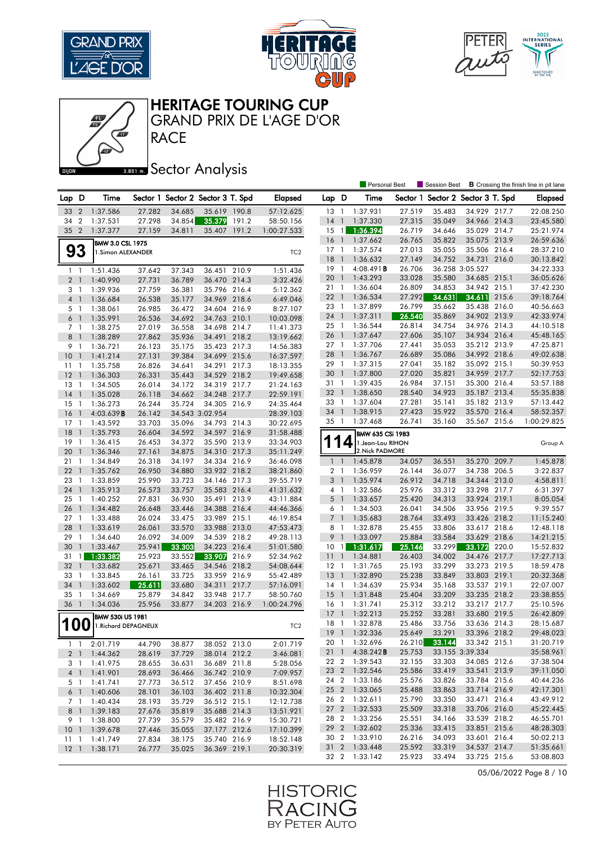







**Banas** Sector Analysis

|                |                |                                       |                  |                  |                                   |       |                 |                                  |                | <b>Personal Best</b>                 |        | Session Best                      |                 |       | <b>B</b> Crossing the finish line in pit lane |
|----------------|----------------|---------------------------------------|------------------|------------------|-----------------------------------|-------|-----------------|----------------------------------|----------------|--------------------------------------|--------|-----------------------------------|-----------------|-------|-----------------------------------------------|
| Lap D          |                | Time                                  |                  |                  | Sector 1 Sector 2 Sector 3 T. Spd |       | <b>Elapsed</b>  | Lap D                            |                | Time                                 |        | Sector 1 Sector 2 Sector 3 T. Spd |                 |       | Elapsed                                       |
| 33             | $\overline{2}$ | 1:37.586                              | 27.282           | 34.685           | 35.619 190.8                      |       | 57:12.625       | 13 1                             |                | 1:37.931                             | 27.519 | 35.483                            | 34.929 217.7    |       | 22:08.250                                     |
| 34             | $\overline{2}$ | 1:37.531                              | 27.298           | 34.854           | 35.379                            | 191.2 | 58:50.156       | 14                               | $\overline{1}$ | 1:37.330                             | 27.315 | 35.049                            | 34.966 214.3    |       | 23:45.580                                     |
| 35 2           |                | 1:37.377                              | 27.159           | 34.811           | 35.407                            | 191.2 | 1:00:27.533     | $15-1$                           |                | 1:36.394                             | 26.719 | 34.646                            | 35.029 214.7    |       | 25:21.974                                     |
|                |                |                                       |                  |                  |                                   |       |                 | 16                               | $\overline{1}$ | 1:37.662                             | 26.765 | 35.822                            | 35.075 213.9    |       | 26:59.636                                     |
| 93             |                | BMW 3.0 CSL 1975<br>1.Simon ALEXANDER |                  |                  |                                   |       | TC <sub>2</sub> | $17-1$                           |                | 1:37.574                             | 27.013 | 35.055                            | 35.506 216.4    |       | 28:37.210                                     |
|                |                |                                       |                  |                  |                                   |       |                 | $18-1$                           |                | 1:36.632                             | 27.149 | 34.752                            | 34.731 216.0    |       | 30:13.842                                     |
| 11             |                | 1:51.436                              | 37.642           | 37.343           | 36.451                            | 210.9 | 1:51.436        | 19                               | $\overline{1}$ | 4:08.491 <b>B</b>                    | 26.706 |                                   | 36.258 3:05.527 |       | 34:22.333                                     |
| 2 <sub>1</sub> |                | 1:40.990                              | 27.731           | 36.789           | 36.470 214.3                      |       | 3:32.426        | 20                               | $\overline{1}$ | 1:43.293                             | 33.028 | 35.580                            | 34.685 215.1    |       | 36:05.626                                     |
| 3 1            |                | 1:39.936                              | 27.759           | 36.381           | 35.796 216.4                      |       | 5:12.362        | 21 1                             |                | 1:36.604                             | 26.809 | 34.853                            | 34.942 215.1    |       | 37:42.230                                     |
| 4 1            |                | 1:36.684                              | 26.538           | 35.177           | 34.969 218.6                      |       | 6:49.046        | 221                              |                | 1:36.534                             | 27.292 | 34.631                            | 34.611          | 215.6 | 39:18.764                                     |
| 5 1            |                | 1:38.061                              | 26.985           | 36.472           | 34.604 216.9                      |       | 8:27.107        | 23 1                             |                | 1:37.899                             | 26.799 | 35.662                            | 35.438 216.0    |       | 40:56.663                                     |
| 6 <sub>1</sub> |                | 1:35.991                              | 26.536           | 34.692           | 34.763 210.1                      |       | 10:03.098       | 24 1                             |                | 1:37.311                             | 26.540 | 35.869                            | 34.902 213.9    |       | 42:33.974                                     |
| 7 <sub>1</sub> |                | 1:38.275                              | 27.019           | 36.558           | 34.698 214.7                      |       | 11:41.373       | 25 1                             |                | 1:36.544                             | 26.814 | 34.754                            | 34.976 214.3    |       | 44:10.518                                     |
| 8              | $\overline{1}$ | 1:38.289                              | 27.862           | 35.936           | 34.491 218.2                      |       | 13:19.662       | 26                               | $\overline{1}$ | 1:37.647                             | 27.606 | 35.107                            | 34.934 216.4    |       | 45:48.165                                     |
| 9 1            |                | 1:36.721                              | 26.123           | 35.175           | 35.423 217.3                      |       | 14:56.383       | 27 1                             |                | 1:37.706                             | 27.441 | 35.053                            | 35.212 213.9    |       | 47:25.871                                     |
| 10             | $\overline{1}$ | 1:41.214                              | 27.131           | 39.384           | 34.699 215.6                      |       | 16:37.597       | 28 1                             |                | 1:36.767                             | 26.689 | 35.086                            | 34.992 218.6    |       | 49:02.638                                     |
| 11             | -1             | 1:35.758                              | 26.826           | 34.641           | 34.291 217.3                      |       | 18:13.355       | 29 1                             |                | 1:37.315                             | 27.041 | 35.182                            | 35.092 215.1    |       | 50:39.953                                     |
| 12             | $\mathbf{1}$   | 1:36.303                              | 26.331           | 35.443           | 34.529 218.2                      |       | 19:49.658       | 30 <sub>1</sub>                  |                | 1:37.800                             | 27.020 | 35.821                            | 34.959 217.7    |       | 52:17.753                                     |
| 13             | $\overline{1}$ | 1:34.505                              | 26.014           | 34.172           | 34.319 217.7                      |       | 21:24.163       | 31 1                             |                | 1:39.435                             | 26.984 | 37.151                            | 35.300 216.4    |       | 53:57.188                                     |
| 14             | $\overline{1}$ | 1:35.028                              | 26.118           | 34.662           | 34.248 217.7                      |       | 22:59.191       | 32 <sub>1</sub>                  |                | 1:38.650                             | 28.540 | 34.923                            | 35.187 213.4    |       | 55:35.838                                     |
| 15             | -1             | 1:36.273                              | 26.244           | 35.724           | 34.305 216.9                      |       | 24:35.464       | 33 1                             |                | 1:37.604                             | 27.281 | 35.141                            | 35.182 213.9    |       | 57:13.442                                     |
| 16             | $\mathbf{1}$   | 4:03.639B                             | 26.142           |                  | 34.543 3:02.954                   |       | 28:39.103       | 34 1                             |                | 1:38.915                             | 27.423 | 35.922                            | 35.570 216.4    |       | 58:52.357                                     |
| 17             | $\mathbf{1}$   | 1:43.592                              | 33.703           | 35.096           | 34.793 214.3                      |       | 30:22.695       | 35 1                             |                | 1:37.468                             | 26.741 | 35.160                            | 35.567 215.6    |       | 1:00:29.825                                   |
| 18             | $\overline{1}$ | 1:35.793                              | 26.604           | 34.592           | 34.597 216.9                      |       | 31:58.488       |                                  |                |                                      |        |                                   |                 |       |                                               |
| 19             | - 1            | 1:36.415                              | 26.453           | 34.372           | 35.590 213.9                      |       | 33:34.903       |                                  | 4              | BMW 635 CSi 1983                     |        |                                   |                 |       |                                               |
| 20             | $\overline{1}$ | 1:36.346                              | 27.161           | 34.875           | 34.310 217.3                      |       | 35:11.249       |                                  |                | 1. Jean-Lou RIHON<br>2. Nick PADMORE |        |                                   |                 |       | Group A                                       |
| 211            |                | 1:34.849                              | 26.318           | 34.197           | 34.334 216.9                      |       | 36:46.098       | $1\quad$                         |                | 1:45.878                             | 34.057 | 36.551                            | 35.270 209.7    |       | 1:45.878                                      |
| 22             | $\overline{1}$ | 1:35.762                              | 26.950           |                  | 33.932 218.2                      |       | 38:21.860       |                                  |                |                                      | 26.144 |                                   | 34.738 206.5    |       | 3:22.837                                      |
| 23             | -1             | 1:33.859                              | 25.990           | 34.880<br>33.723 | 34.146 217.3                      |       | 39:55.719       | 2 <sub>1</sub><br>3 <sup>1</sup> |                | 1:36.959<br>1:35.974                 | 26.912 | 36.077<br>34.718                  | 34.344 213.0    |       | 4:58.811                                      |
| 24             | $\overline{1}$ | 1:35.913                              | 26.573           | 33.757           | 35.583 216.4                      |       |                 | 4 1                              |                | 1:32.586                             | 25.976 | 33.312                            | 33.298 217.7    |       | 6:31.397                                      |
|                | $\overline{1}$ |                                       |                  |                  |                                   |       | 41:31.632       |                                  |                | 1:33.657                             |        |                                   |                 |       |                                               |
| 25             | $\overline{1}$ | 1:40.252                              | 27.831           | 36.930           | 35.491 213.9                      |       | 43:11.884       | 5 <sub>1</sub>                   |                |                                      | 25.420 | 34.313                            | 33.924 219.1    |       | 8:05.054                                      |
| 26<br>27       | $\overline{1}$ | 1:34.482                              | 26.648<br>26.024 | 33.446<br>33.475 | 34.388 216.4<br>33.989 215.1      |       | 44:46.366       | 6 1<br>7 <sup>1</sup>            |                | 1:34.503                             | 26.041 | 34.506<br>33.493                  | 33.956 219.5    |       | 9:39.557                                      |
|                | $\overline{1}$ | 1:33.488                              |                  |                  |                                   |       | 46:19.854       |                                  |                | 1:35.683                             | 28.764 |                                   | 33.426 218.2    |       | 11:15.240                                     |
| 28             |                | 1:33.619                              | 26.061           | 33.570           | 33.988 213.0                      |       | 47:53.473       | $8-1$<br>9 <sup>1</sup>          |                | 1:32.878                             | 25.455 | 33.806                            | 33.617 218.6    |       | 12:48.118                                     |
| 29             | $\mathbf{1}$   | 1:34.640                              | 26.092           | 34.009           | 34.539 218.2                      |       | 49:28.113       |                                  |                | 1:33.097                             | 25.884 | 33.584                            | 33.629 218.6    |       | 14:21.215                                     |
| 30             | $\mathbf{1}$   | 1:33.467                              | 25.941           | 33.303           | 34.223 216.4                      |       | 51:01.580       | 10                               | $\mathbf{1}$   | 1:31.617                             | 25.146 | 33.299                            | 33.172          | 220.0 | 15:52.832                                     |
| 31             | 1              | 1:33.382                              | 25.923           | 33.552           | 33.907                            | 216.9 | 52:34.962       | 11                               | $\overline{1}$ | 1:34.881                             | 26.403 | 34.002                            | 34.476 217.7    |       | 17:27.713                                     |
| 32             | $\overline{1}$ | 1:33.682                              | 25.671           | 33.465           | 34.546                            | 218.2 | 54:08.644       | $12-1$                           |                | 1:31.765                             | 25.193 | 33.299                            | 33.273 219.5    |       | 18:59.478                                     |
| 33             | -1             | 1:33.845                              | 26.161           | 33.725           | 33.959 216.9                      |       | 55:42.489       | 13 <sup>1</sup>                  |                | 1:32.890                             | 25.238 | 33.849                            | 33.803 219.1    |       | 20:32.368                                     |
| 34             | $\overline{1}$ | 1:33.602                              | 25.611           | 33.680           | 34.311                            | 217.7 | 57:16.091       | $14-1$                           |                | 1:34.639                             | 25.934 | 35.168                            | 33.537 219.1    |       | 22:07.007                                     |
| 35             | $\mathbf{1}$   | 1:34.669                              | 25.879           | 34.842           | 33.948 217.7                      |       | 58:50.760       | 15                               | $\overline{1}$ | 1:31.848                             | 25.404 | 33.209                            | 33.235 218.2    |       | 23:38.855                                     |
| 36             | $\overline{1}$ | 1:34.036                              | 25.956           | 33.877           | 34.203 216.9                      |       | 1:00:24.796     | $16-1$                           |                | 1:31.741                             | 25.312 | 33.212                            | 33.217 217.7    |       | 25:10.596                                     |
|                |                | <b>BMW 530i US 1981</b>               |                  |                  |                                   |       |                 | 17                               | $\overline{1}$ | 1:32.213                             | 25.252 | 33.281                            | 33.680 219.5    |       | 26:42.809                                     |
| <b>100</b>     |                | 1. Richard DEPAGNEUX                  |                  |                  |                                   |       | TC <sub>2</sub> | $18-1$                           |                | 1:32.878                             | 25.486 | 33.756                            | 33.636 214.3    |       | 28:15.687                                     |
|                |                |                                       |                  |                  |                                   |       |                 |                                  |                | 19 1 1:32.336                        | 25.649 | 33.291                            | 33.396 218.2    |       | 29:48.023                                     |
|                |                | 1 1 2:01.719                          | 44.790           | 38.877           | 38.052 213.0                      |       | 2:01.719        |                                  |                | 20 1 1:32.696                        | 26.210 | 33.144                            | 33.342 215.1    |       | 31:20.719                                     |
|                |                | 2 1 1:44.362                          | 28.619           | 37.729           | 38.014 212.2                      |       | 3:46.081        | $21 \quad 1$                     |                | 4:38.242B                            | 25.753 |                                   | 33.155 3:39.334 |       | 35:58.961                                     |
|                | 31             | 1:41.975                              | 28.655           | 36.631           | 36.689 211.8                      |       | 5:28.056        |                                  |                | 22 2 1:39.543                        | 32.155 | 33.303                            | 34.085 212.6    |       | 37:38.504                                     |
|                |                | 4 1 1:41.901                          | 28.693           | 36.466           | 36.742 210.9                      |       | 7:09.957        |                                  |                | 23 2 1:32.546                        | 25.586 | 33.419                            | 33.541 213.9    |       | 39:11.050                                     |
|                | 5 1            | 1:41.741                              | 27.773           | 36.512           | 37.456 210.9                      |       | 8:51.698        |                                  |                | 24 2 1:33.186                        | 25.576 | 33.826                            | 33.784 215.6    |       | 40:44.236                                     |
|                |                | 6 1 1:40.606                          | 28.101           | 36.103           | 36.402 211.8                      |       | 10:32.304       |                                  |                | 25 2 1:33.065                        | 25.488 | 33.863                            | 33.714 216.9    |       | 42:17.301                                     |
|                |                | 7 1 1:40.434                          | 28.193           | 35.729           | 36.512 215.1                      |       | 12:12.738       |                                  |                | 26 2 1:32.611                        | 25.790 | 33.350                            | 33.471 216.4    |       | 43:49.912                                     |
| 8 1            |                | 1:39.183                              | 27.676           | 35.819           | 35.688 214.3                      |       | 13:51.921       |                                  |                | 27 2 1:32.533                        | 25.509 | 33.318                            | 33.706 216.0    |       | 45:22.445                                     |
|                |                | 9 1 1:38.800                          | 27.739           | 35.579           | 35.482 216.9                      |       | 15:30.721       |                                  |                | 28 2 1:33.256                        | 25.551 | 34.166                            | 33.539 218.2    |       | 46:55.701                                     |
|                |                | 10 1 1:39.678                         | 27.446           | 35.055           | 37.177 212.6                      |       | 17:10.399       |                                  |                | 29 2 1:32.602                        | 25.336 | 33.415                            | 33.851 215.6    |       | 48:28.303                                     |
| $11-1$         |                | 1:41.749                              | 27.834           | 38.175           | 35.740 216.9                      |       | 18:52.148       |                                  |                | 30 2 1:33.910                        | 26.216 | 34.093                            | 33.601 216.4    |       | 50:02.213                                     |
|                |                | 12 1 1:38.171                         | 26.777           | 35.025           | 36.369 219.1                      |       | 20:30.319       |                                  |                | 31 2 1:33.448                        | 25.592 | 33.319                            | 34.537 214.7    |       | 51:35.661                                     |
|                |                |                                       |                  |                  |                                   |       |                 |                                  |                | 32 2 1:33.142                        | 25.923 | 33.494                            | 33.725 215.6    |       | 53:08.803                                     |

05/06/2022 Page 8 / 10

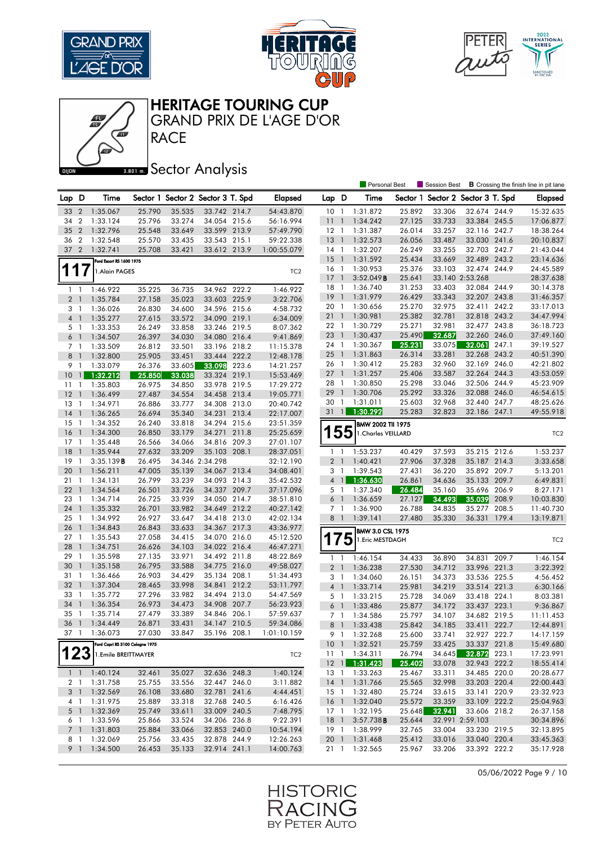





Personal Best **S** Session Best **B** Crossing the finish line in pit lane



**RACE** GRAND PRIX DE L'AGE D'OR

# **BRONES** Sector Analysis

| Lap D                          | Time                            |        |        | Sector 1 Sector 2 Sector 3 T. Spd | <b>Elapsed</b>  | Lap D           |                          | Time                |        |        | Sector 1 Sector 2 Sector 3 T. Spd |       | <b>Elapsed</b>  |
|--------------------------------|---------------------------------|--------|--------|-----------------------------------|-----------------|-----------------|--------------------------|---------------------|--------|--------|-----------------------------------|-------|-----------------|
| 33<br>$\overline{2}$           | 1:35.067                        | 25.790 | 35.535 | 33.742 214.7                      | 54:43.870       | 10 <sup>°</sup> | $\overline{1}$           | 1:31.872            | 25.892 | 33.306 | 32.674 244.9                      |       | 15:32.635       |
| 34 2                           | 1:33.124                        | 25.796 | 33.274 | 34.054 215.6                      | 56:16.994       | 11              | $\overline{1}$           | 1:34.242            | 27.125 | 33.733 | 33.384 245.5                      |       | 17:06.877       |
| $\overline{2}$<br>35           | 1:32.796                        | 25.548 | 33.649 | 33.599 213.9                      | 57:49.790       | $12-1$          |                          | 1:31.387            | 26.014 | 33.257 | 32.116 242.7                      |       | 18:38.264       |
| $\overline{2}$<br>36           | 1:32.548                        | 25.570 | 33.435 | 33.543 215.1                      | 59:22.338       | $13-1$          |                          | 1:32.573            | 26.056 | 33.487 | 33.030 241.6                      |       | 20:10.837       |
| 37<br>$\overline{2}$           | 1:32.741                        | 25.708 | 33.421 | 33.612 213.9                      | 1:00:55.079     | $14-1$          |                          | 1:32.207            | 26.249 | 33.255 | 32.703 242.7                      |       | 21:43.044       |
|                                | Ford Escort RS 1600 1975        |        |        |                                   |                 | 15              | $\overline{1}$           | 1:31.592            | 25.434 | 33.669 | 32.489 243.2                      |       | 23:14.636       |
| 7<br>1                         | 1.Alain PAGES                   |        |        |                                   | TC <sub>2</sub> | $16-1$          |                          | 1:30.953            | 25.376 | 33.103 | 32.474 244.9                      |       | 24:45.589       |
|                                |                                 |        |        |                                   |                 | $17-1$          |                          | 3:52.049B           | 25.641 |        | 33.140 2:53.268                   |       | 28:37.638       |
| $\overline{1}$<br>$\mathbf{1}$ | 1:46.922                        | 35.225 | 36.735 | 34.962 222.2                      | 1:46.922        | $18-1$          |                          | 1:36.740            | 31.253 | 33.403 | 32.084 244.9                      |       | 30:14.378       |
| 2 <sup>1</sup>                 | 1:35.784                        | 27.158 | 35.023 | 33.603 225.9                      | 3:22.706        | 19              | $\overline{1}$           | 1:31.979            | 26.429 | 33.343 | 32.207 243.8                      |       | 31:46.357       |
| 3 <sub>1</sub>                 | 1:36.026                        | 26.830 | 34.600 | 34.596 215.6                      | 4:58.732        | 20              | $\overline{1}$           | 1:30.656            | 25.270 | 32.975 | 32.411 242.2                      |       | 33:17.013       |
| 4 <sup>1</sup>                 | 1:35.277                        | 27.615 | 33.572 | 34.090 219.1                      | 6:34.009        | 211             |                          | 1:30.981            | 25.382 | 32.781 | 32.818 243.2                      |       | 34:47.994       |
| 5 <sub>1</sub>                 | 1:33.353                        | 26.249 | 33.858 | 33.246 219.5                      | 8:07.362        | 22 1            |                          | 1:30.729            | 25.271 | 32.981 | 32.477 243.8                      |       | 36:18.723       |
| 6 <sup>1</sup>                 | 1:34.507                        | 26.397 | 34.030 | 34.080 216.4                      | 9:41.869        | 23              | $\overline{1}$           | 1:30.437            | 25.490 | 32.687 | 32.260 246.0                      |       | 37:49.160       |
| 7 <sup>1</sup>                 | 1:33.509                        | 26.812 | 33.501 | 33.196 218.2                      | 11:15.378       | 24 1            |                          | 1:30.367            | 25.231 | 33.075 | 32.061                            | 247.1 | 39:19.527       |
| 8 <sup>1</sup>                 | 1:32.800                        | 25.905 | 33.451 | 33.444 222.2                      | 12:48.178       | 25              | $\overline{1}$           | 1:31.863            | 26.314 | 33.281 | 32.268 243.2                      |       | 40:51.390       |
| 9 1                            | 1:33.079                        | 26.376 | 33.605 | 33.098 223.6                      | 14:21.257       | 26 1            |                          | 1:30.412            | 25.283 | 32.960 | 32.169 246.0                      |       | 42:21.802       |
| 10<br>$\mathbf{1}$             | 1:32.212                        | 25.850 | 33.038 | 33.324 219.1                      | 15:53.469       | 27              | $\overline{1}$           | 1:31.257            | 25.406 | 33.587 | 32.264 244.3                      |       | 43:53.059       |
| 11<br>$\mathbf{1}$             | 1:35.803                        | 26.975 | 34.850 | 33.978 219.5                      | 17:29.272       | 28              | $\overline{\phantom{a}}$ | 1:30.850            | 25.298 | 33.046 | 32.506 244.9                      |       | 45:23.909       |
| 12<br>$\overline{1}$           | 1:36.499                        | 27.487 | 34.554 | 34.458 213.4                      | 19:05.771       | 29              | $\overline{1}$           | 1:30.706            | 25.292 | 33.326 | 32.088 246.0                      |       | 46:54.615       |
| 13<br>$\mathbf{1}$             | 1:34.971                        | 26.886 | 33.777 | 34.308 213.0                      | 20:40.742       | 30 1            |                          | 1:31.011            | 25.603 | 32.968 | 32.440 247.7                      |       | 48:25.626       |
| 14<br>$\overline{1}$           | 1:36.265                        | 26.694 | 35.340 | 34.231 213.4                      | 22:17.007       | $31 \quad 1$    |                          | 1:30.292            | 25.283 | 32.823 | 32.186 247.1                      |       | 49:55.918       |
| 15<br>$\overline{\phantom{a}}$ | 1:34.352                        | 26.240 | 33.818 | 34.294 215.6                      | 23:51.359       |                 |                          | BMW 2002 TII 1975   |        |        |                                   |       |                 |
| 16<br>$\overline{1}$           | 1:34.300                        | 26.850 | 33.179 | 34.271 211.8                      | 25:25.659       |                 | 55                       | 1. Charles VEILLARD |        |        |                                   |       | TC <sub>2</sub> |
| 17<br>$\overline{1}$           | 1:35.448                        | 26.566 | 34.066 | 34.816 209.3                      | 27:01.107       |                 |                          |                     |        |        |                                   |       |                 |
| 18<br>$\overline{1}$           | 1:35.944                        | 27.632 | 33.209 | 35.103 208.1                      | 28:37.051       | 1 <sup>1</sup>  |                          | 1:53.237            | 40.429 | 37.593 | 35.215 212.6                      |       | 1:53.237        |
| 19<br>-1                       | 3:35.139B                       | 26.495 |        | 34.346 2:34.298                   | 32:12.190       | 2 <sub>1</sub>  |                          | 1:40.421            | 27.906 | 37.328 | 35.187 214.3                      |       | 3:33.658        |
| 20<br>$\overline{1}$           | 1:56.211                        | 47.005 | 35.139 | 34.067 213.4                      | 34:08.401       | 3               | $\overline{1}$           | 1:39.543            | 27.431 | 36.220 | 35.892 209.7                      |       | 5:13.201        |
| 211                            | 1:34.131                        | 26.799 | 33.239 | 34.093 214.3                      | 35:42.532       | $4 \mid$        |                          | 1:36.630            | 26.861 | 34.636 | 35.133 209.7                      |       | 6:49.831        |
| 22<br>$\overline{\phantom{a}}$ | 1:34.564                        | 26.501 | 33.726 | 34.337 209.7                      | 37:17.096       | 5               | $\overline{1}$           | 1:37.340            | 26.484 | 35.160 | 35.696 206.9                      |       | 8:27.171        |
| 23<br>$\overline{1}$           | 1:34.714                        | 26.725 | 33.939 | 34.050 214.7                      | 38:51.810       | 6               | $\overline{1}$           | 1:36.659            | 27.127 | 34.493 | 35.039                            | 208.9 | 10:03.830       |
| 24<br>$\overline{1}$           | 1:35.332                        | 26.701 | 33.982 | 34.649 212.2                      | 40:27.142       | 7 <sub>1</sub>  |                          | 1:36.900            | 26.788 | 34.835 | 35.277                            | 208.5 | 11:40.730       |
| 25<br>$\mathbf{1}$             | 1:34.992                        | 26.927 | 33.647 | 34.418 213.0                      | 42:02.134       | 8 <sup>1</sup>  |                          | 1:39.141            | 27.480 | 35.330 | 36.331 179.4                      |       | 13:19.871       |
| 26<br>$\overline{1}$           | 1:34.843                        | 26.843 | 33.633 | 34.367 217.3                      | 43:36.977       |                 |                          | BMW 3.0 CSL 1975    |        |        |                                   |       |                 |
| 27<br>$\overline{\phantom{a}}$ | 1:35.543                        | 27.058 | 34.415 | 34.070 216.0                      | 45:12.520       |                 | 75                       | 1. Eric MESTDAGH    |        |        |                                   |       | TC <sub>2</sub> |
| 28<br>$\overline{1}$           | 1:34.751                        | 26.626 | 34.103 | 34.022 216.4                      | 46:47.271       |                 |                          |                     |        |        |                                   |       |                 |
| 29<br>$\overline{1}$           | 1:35.598                        | 27.135 | 33.971 | 34.492 211.8                      | 48:22.869       | $1\quad$        |                          | 1:46.154            | 34.433 | 36.890 | 34.831 209.7                      |       | 1:46.154        |
| 30<br>$\overline{\phantom{a}}$ | 1:35.158                        | 26.795 | 33.588 | 34.775 216.0                      | 49:58.027       | 2 <sub>1</sub>  |                          | 1:36.238            | 27.530 | 34.712 | 33.996 221.3                      |       | 3:22.392        |
| 31<br>-1                       | 1:36.466                        | 26.903 | 34.429 | 35.134 208.1                      | 51:34.493       | 3 1             |                          | 1:34.060            | 26.151 | 34.373 | 33.536 225.5                      |       | 4:56.452        |
| 32<br>$\overline{\phantom{a}}$ | 1:37.304                        | 28.465 | 33.998 | 34.841 212.2                      | 53:11.797       | $4-1$           |                          | 1:33.714            | 25.981 | 34.219 | 33.514 221.3                      |       | 6:30.166        |
| 33 1                           | 1:35.772                        | 27.296 | 33.982 | 34.494 213.0                      | 54:47.569       | 5 1             |                          | 1:33.215            | 25.728 | 34.069 | 33.418 224.1                      |       | 8:03.381        |
| 34<br>$\overline{\phantom{a}}$ | 1:36.354                        | 26.973 | 34.473 | 34.908 207.7                      | 56:23.923       | 6               | $\overline{\phantom{a}}$ | 1:33.486            | 25.877 | 34.172 | 33.437 223.1                      |       | 9:36.867        |
| 35<br>$\mathbf{1}$             | 1:35.714                        | 27.479 | 33.389 | 34.846 206.1                      | 57:59.637       | 7 <sub>1</sub>  |                          | 1:34.586            | 25.797 | 34.107 | 34.682 219.5                      |       | 11:11.453       |
| 36                             | 1:34.449                        | 26.871 | 33.431 | 34.147 210.5                      | 59:34.086       | 8               | $\mathbf{1}$             | 1:33.438            | 25.842 | 34.185 | 33.411 222.7                      |       | 12:44.891       |
| 37 1                           | 1:36.073                        | 27.030 | 33.847 | 35.196 208.1                      | 1:01:10.159     | 9 1             |                          | 1:32.268            | 25.600 | 33.741 | 32.927 222.7                      |       | 14:17.159       |
|                                | Ford Capri RS 3100 Cologne 1975 |        |        |                                   |                 |                 |                          | 10 1 1:32.521       | 25.759 | 33.425 | 33.337 221.8                      |       | 15:49.680       |
| 123                            | 1.Emile BREITTMAYER             |        |        |                                   | TC <sub>2</sub> |                 |                          | 11 1 1:34.311       | 26.794 | 34.645 | 32.872                            | 223.1 | 17:23.991       |
|                                |                                 |        |        |                                   |                 | $12 \quad 1$    |                          | 1:31.423            | 25.402 | 33.078 | 32.943 222.2                      |       | 18:55.414       |
|                                | $1 \quad 1 \quad 1:40.124$      | 32.461 | 35.027 | 32.636 248.3                      | 1:40.124        |                 |                          | 13 1 1:33.263       | 25.467 | 33.311 | 34.485 220.0                      |       | 20:28.677       |
| 2 <sub>1</sub>                 | 1:31.758                        | 25.755 | 33.556 | 32.447 246.0                      | 3:11.882        |                 |                          | 14 1 1:31.766       | 25.565 | 32.998 | 33.203 220.4                      |       | 22:00.443       |
| 3 1                            | 1:32.569                        | 26.108 | 33.680 | 32.781 241.6                      | 4:44.451        |                 |                          | 15 1 1:32.480       | 25.724 | 33.615 | 33.141 220.9                      |       | 23:32.923       |
| 4 1                            | 1:31.975                        | 25.889 | 33.318 | 32.768 240.5                      | 6:16.426        | 16 1            |                          | 1:32.040            | 25.572 | 33.359 | 33.109 222.2                      |       | 25:04.963       |
| $5-1$                          | 1:32.369                        | 25.749 | 33.611 | 33.009 240.5                      | 7:48.795        | 17 1            |                          | 1:32.195            | 25.648 | 32.941 | 33.606 218.2                      |       | 26:37.158       |
| 6 1                            | 1:33.596                        | 25.866 | 33.524 | 34.206 236.8                      | 9:22.391        | 18 1            |                          | 3:57.738B           | 25.644 |        | 32.991 2:59.103                   |       | 30:34.896       |
| 7 <sup>1</sup>                 | 1:31.803                        | 25.884 | 33.066 | 32.853 240.0                      | 10:54.194       |                 |                          | 19 1 1:38.999       | 32.765 | 33.004 | 33.230 219.5                      |       | 32:13.895       |
| 8 1                            | 1:32.069                        | 25.756 | 33.435 | 32.878 244.9                      | 12:26.263       |                 |                          | 20 1 1:31.468       | 25.412 | 33.016 | 33.040 220.4                      |       | 33:45.363       |
| 9 1                            | 1:34.500                        | 26.453 | 35.133 | 32.914 241.1                      | 14:00.763       | 21 1            |                          | 1:32.565            | 25.967 | 33.206 | 33.392 222.2                      |       | 35:17.928       |

05/06/2022 Page 9 / 10